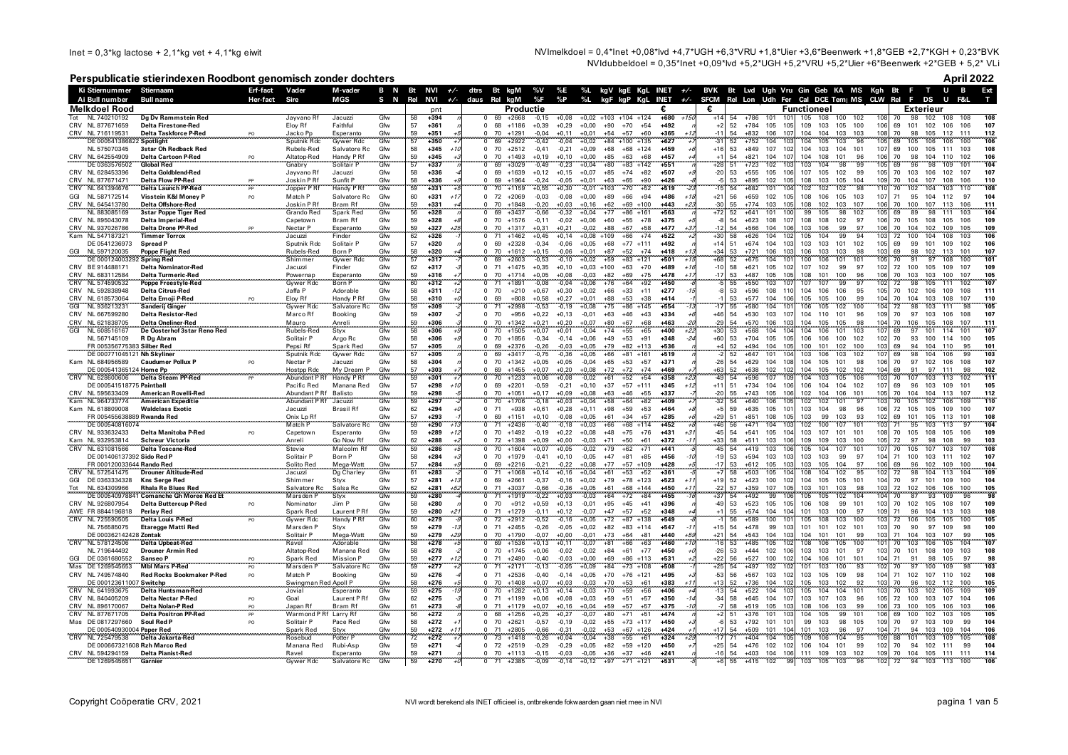Inet =  $0,3$ \*kg lactose + 2,1\*kg vet + 4,1\*kg eiwit

NVImelkdoel = 0.4\*lnet +0.08\*lvd +4.7\*UGH +6.3\*VRU +1.8\*Uier +3.6\*Beenwerk +1.8\*GEB +2.7\*KGH + 0.23\*BVK NVIdubbeldoel = 0,35\*lnet +0,09\*lvd +5,2\*UGH +5,2\*VRU +5,2\*Uler +6\*Beenwerk +2\*GEB + 5,2\* VLi

## Perspublicatie stierindexen Roodbont genomisch zonder dochters

April 2022

|                  | Ki Stiernummer                                | Stiernaam                                                 | Erf-fact             | Vader                        | M-vader                        | B N        |                 | Bt NVI           |       |                          | $+/-$ dtrs Bt kgM |                      | %V                 | %E                 |                    |                                   |                      |                  | %L kgV kgE KgL INET +/- BVK Bt Lvd Ugh Vru Gin Geb KA MS Kgh Bt F |           |                  |                                      |                    |                          |                                          |            |                 |                         | T U B      | Ext                      |  |
|------------------|-----------------------------------------------|-----------------------------------------------------------|----------------------|------------------------------|--------------------------------|------------|-----------------|------------------|-------|--------------------------|-------------------|----------------------|--------------------|--------------------|--------------------|-----------------------------------|----------------------|------------------|-------------------------------------------------------------------|-----------|------------------|--------------------------------------|--------------------|--------------------------|------------------------------------------|------------|-----------------|-------------------------|------------|--------------------------|--|
|                  | Ai Bull number                                | Bull name                                                 | Her-fact             | Sire                         | MGS                            | S N        | Rel             | <b>NVI</b>       |       | $+/-$ daus Rel           |                   | kgM                  | %F                 | %P                 | %L                 |                                   |                      |                  | kgF kgP KgL INET +/- SFCM                                         |           |                  |                                      |                    |                          | Rel Lon Udh Fer Cal DCE Tem   MS CLW Rel |            | F.              | DS                      |            |                          |  |
| Tot              | <b>Melkdoel Rood</b>                          |                                                           |                      |                              | Jacuzzi                        | Gfw        |                 | pnt<br>$+394$    |       | $\Omega$                 | 69                | Productie<br>$+2668$ | $-0.15$            |                    |                    | $+0.02 +103 +104 +124$            |                      | €.<br>$+680$     | €<br>$+150$                                                       | 54        | $+786$           | 101<br>10                            | Functioneel<br>105 | 108<br>100               | 102                                      | 108        |                 | Exterieur<br>98<br>102  |            |                          |  |
|                  | NL 740210192<br>CRV NL 877671659              | Dg Dv Rammstein Red<br>Delta Firestone-Red                |                      | Jayvano Rf<br>Eloy Rf        | Faithful                       | Gfw        | 58<br>57        | $+361$           |       | $\Omega$                 | 68                | $+1186$              | $+0,39$            | $+0,08$<br>$+0,29$ | $+0,00$            | $+90$<br>$+70$                    | $+54$                | $+492$           |                                                                   | 52        | $+784$           | 105<br>105                           | 109                | 103<br>105               | 100                                      | 106        | 70<br>69<br>101 | 102                     | 108<br>106 | 106<br>107               |  |
|                  | CRV NL 716119531                              | Delta Taskforce P-Red                                     |                      | Jacko Pp                     | Esperanto                      | Gfw        | 59              | $+351$           |       |                          | 70                | $+1291$              | $-0,04$            | $+0.11$            | $+0.01$            | $+54$<br>$+57$                    | $+60$                | $+365$           | $-1$                                                              | 54        | $+832$           | 106<br>107                           | 104                | 104<br>103               | 103                                      | 108        | 70              | 98<br>105               | 112        | 111<br>112               |  |
|                  | DE 00054138682                                | Spotlight                                                 |                      | Sputnik Rdc                  | <b>Gywer Rdc</b>               | Gfw        | 57              | $+350$           |       |                          | 69                | $+2922$              | $-0,42$            | $-0.04$            | $+0,02$            | $+84$<br>$+100$                   | $+135$               | $+627$           |                                                                   | 52        | $+752$           | 104                                  | 104                | 103<br>105               | 96                                       | 105        | 69              | 106                     | 106        | 106<br>100               |  |
|                  | NL 575070345                                  | 3star Oh Redback Red                                      |                      | Rubels-Red                   | Salvatore Rc                   | Gfw        | 58              | $+345$           |       | $\Omega$<br>$\Omega$     | 70<br>70          | $+2512$              | $-0,41$            | $-0.21$            | $+0,09$            | $+68$<br>$+68$                    | $+124$<br>$+68$      | $+459$<br>$+457$ | $+10$                                                             | 53<br>54  | $+849$           | 107<br>102<br>107                    | 104<br>104         | 103<br>104               | 101<br>96                                | 107<br>106 | 69<br>100       | 105<br>98               | 111<br>110 | 108<br>103               |  |
|                  | CRV NL 642554909<br>DE 0363576502             | <b>Delta Cartoon P-Red</b><br><b>Global Red</b>           | PO                   | Altatop-Red<br>Gnabry        | Handy P Rf<br>Solitair F       | Gfw<br>Gfw | 59<br>57        | $+345$<br>$+337$ |       | $\Omega$                 | 69                | $+1493$<br>$+3029$   | $+0,19$<br>$-0.49$ | $+0,10$<br>$-0,23$ | $+0,00$<br>$+0.04$ | $+85$<br>$+63$<br>$+80$<br>$+83$  | $+142$               | $+551$           | $+28$                                                             | 51        | $+821$<br>$+723$ | 104<br>102<br>10                     | 103                | 108<br>101<br>98<br>104  | 99                                       | 105        | 70<br>69        | 104<br>96<br>98         | 109        | 102<br>106<br>104<br>101 |  |
|                  | CRV NL 628453396                              | Delta Goldblend-Red                                       |                      | Jayvano Rf                   | Jacuzzi                        | Gfw        | 58              | $+336$           |       | $\Omega$                 | 69                | $+1639$              | $+0.12$            | $+0.15$            | $+0.07$            | $+85$<br>$+74$                    | $+82$                | $+507$           | $-20$                                                             | 53        | $+555$           | 105<br>106                           | 107                | 105<br>102               | 99                                       | 105        | 70<br>103       | 106                     | 102        | 107<br>107               |  |
|                  | CRV NL 877671471                              | <b>Delta Flow PP-Red</b>                                  | PP                   | Joskin PRf                   | Sunfit P                       | Gfw        | 58              | $+336$           |       | $\Omega$                 | 69                | $+1964$              | $-0.24$            | $-0,05$            | $+0.01$            | $+63$<br>$+65$                    | $+90$                | $+426$           |                                                                   | 53        | $+895$           | 102<br>105                           | 108                | 103<br>105               | 104                                      | 109        | 70<br>104       | 107                     | 108        | 106<br>110               |  |
|                  | CRV NL 641394676                              | <b>Delta Launch PP-Red</b>                                |                      | Jopper PRf                   | Handy P Rt                     | Gfw        | 59              | $+331$           |       | $\Omega$                 | 70                | $+1159$              | $+0.55$            | $+0.30$            | $-0.01$            | $+103$<br>$+70$                   | $+52$                | $+519$           |                                                                   |           | $+682$           | 101<br>10                            | 102                | 102<br>102               | 98                                       |            | 70              | 104<br>102              | 103        | 108<br>110               |  |
|                  | GGI NL 587172514<br>CRV NL 645413780          | Visstein K&I Money F<br>Delta Offshore-Red                | PO                   | Match P<br>Joskin PRf        | Salvatore Rc<br><b>Bram Rf</b> | Gfw<br>Gfw | 60<br>59        | $+331$<br>$+331$ | $+1$  | $\Omega$<br>$\Omega$     | 72<br>70          | $+2069$<br>$+1848$   | $-0.03$<br>$-0.20$ | $-0,08$<br>$+0.03$ | $+0,00$<br>$+0.16$ | $+89$<br>$+66$<br>$+62$<br>$+69$  | $+94$<br>$+100$      | $+486$<br>$+443$ | $+21$<br>$-30$<br>$+2$                                            | 56<br>55  | $+659$<br>$+774$ | 102<br>105<br>103<br>10 <sup>F</sup> | 108<br>108         | 105<br>106<br>102<br>103 | 103<br>107                               | 107<br>106 | 71<br>70<br>100 | 95<br>104<br>107        | 112<br>113 | 97<br>104<br>106<br>111  |  |
|                  | NL 883085169                                  | <b>3star Poppe Tiger Red</b>                              |                      | Grando Red                   | Spark Red                      | Gfw        | 56              | $+328$           |       | $\Omega$                 | 69                | $+3437$              | $-0,66$            | $-0,32$            | $+0,04$            | $+86$<br>$+77$                    | $+161$               | $+563$           | $+72$                                                             | 52        | $+641$           | 101<br>101                           | 99                 | 98<br>105                | 102                                      | 105        | 69              | 98<br>89                | 111        | 103<br>104               |  |
|                  | CRV NL 895043078                              | Delta Imperial-Red                                        |                      | Capetown                     | Bram Rf                        | Gfw        | 59              | $+328$           |       | $\Omega$                 | 70                | $+1576$              | $-0.11$            | $-0,02$            | $+0,06$            | $+60$<br>$+55$                    | $+78$                | $+375$           |                                                                   | 54        | $+623$           | 108<br>107                           | 108                | 102<br>108               | 97                                       | 106        | 70<br>105       | 108                     | 105        | 106<br>109               |  |
|                  | CRV NL 937026786                              | Delta Drone PP-Red                                        |                      | Nectar P                     | Esperanto                      | Gfw        | 59              | $+327$           | برح   | $\Omega$                 | 70                | $+1317$              | $+0.31$            | $+0,21$            | $-0.02$            | +88<br>$+67$                      | $+58$                | $+477$           |                                                                   | 54        | $+566$           | 104<br>106                           | 103                | 99<br>106                | 97                                       | 106        | 70<br>104       | 102                     | 109        | 105<br>109               |  |
|                  | Kam NL 547187321                              | <b>Timmer Torrox</b>                                      |                      | Jacuzzi                      | Finder                         | Gfw<br>Gfw | 62<br>57        | $+326$<br>$+320$ |       | $\Omega$<br>$\Omega$     | 71<br>69          | $+1462$              | $+0,45$            | +0,14              | $+0.08$            | $+109$<br>$+66$<br>$+68$<br>$+77$ | $+74$<br>$+111$      | $+522$<br>$+492$ | $+3$<br>$+14$                                                     | 58<br>51  | $+626$<br>$+674$ | 104<br>10<br>104<br>103              | 105<br>103         | 99<br>104<br>103<br>101  | 94<br>102                                | 105        | 72<br>69        | 104<br>100<br>101<br>99 | 108<br>109 | 106<br>103<br>102<br>106 |  |
| GGI              | DE 0541236973<br>NL 597120035                 | Spread P<br><b>Poppe Flight Red</b>                       |                      | Sputnik Rdc<br>Rubels-Red    | Solitair P<br>Born P           | Gfw        | 58              | $+320$           |       | $\Omega$                 | 70                | $+2328$<br>$+1612$   | $-0,34$<br>$+0,15$ | $-0.06$<br>$-0,06$ | $+0,05$<br>$+0,01$ | $+87$<br>$+52$                    | $+74$                | +418             | $+34$                                                             | 53        | $+721$           | 106<br>103                           | 106                | 103<br>103               | 98                                       | 103        | 69              | 98<br>102               | 113        | 101<br>107               |  |
|                  | DE 0001240032                                 | Spring Red                                                |                      | Shimmer                      | Gywer Rdc                      | Gfw        | 57              | $+317$           |       |                          | -69               | $+2603$              | $-0,53$            | $-0,10$            | $+0,02$            | $+59$<br>$+83$                    | $+121$               | $+501$           | $+68$                                                             | 52        | $+675$           | 104<br>10                            | 100                | 106<br>101               | 101                                      |            | 70              | 97<br>91                | 108        | 101<br>100               |  |
|                  | CRV BE 914488171                              | <b>Delta Nominator-Red</b>                                |                      | Jacuzzi                      | Finder                         | Gfw        | 62              | $+317$           |       | $\Omega$                 | 71                | $+1475$              | $+0,35$            | $+0,10$            | $+0.03 +100$       | $+63$                             | $+70$                | $+489$           | $-10$                                                             | 58        | $+621$           | 105<br>102                           | 107                | 102<br>99                | 97                                       | 102        | 72<br>100       | 105                     | 109        | 109<br>107               |  |
|                  | CRV NL 683112584                              | Delta Turmeric-Red                                        |                      | Powernap                     | Esperanto                      | Gfw        | 59<br>60        | $+316$           |       | $\Omega$                 | 70                | $+1712$              | $+0.05$            | $+0,08$            | $-0,03$            | $+69$<br>$+82$                    | $+75$                | $+478$           | $+17$<br>$-17$                                                    | 53        | $+487$           | 105<br>105                           | 108                | 100<br>101               | 96                                       | 106        | 70<br>103       | 103                     | 100        | 105<br>107               |  |
|                  | CRV NL 574590532                              | <b>Poppe Freestyle-Red</b>                                |                      | <b>Gywer Rdc</b>             | Born P                         | Gfw        |                 | $+312$           |       | $\overline{0}$           | 71                | $+1891$              | $-0,08$            | $-0,04$            | $+0,06$            | $+76$<br>$+64$                    | +92                  | $+450$           |                                                                   | 55        | $+550$           | 103<br>10                            | 107                | 99<br>107                | 97                                       | 102        | 72              | 105<br>98               | 111        | 107<br>102               |  |
|                  | CRV NL 592838948<br>CRV NL 618573064          | <b>Delta Citrus-Red</b><br>Delta Emoji P-Red              |                      | Jaffa P<br>Eloy Rf           | Adorable<br>Handy P Rf         | Gfw<br>Gfw | 58<br>58        | $+311$<br>$+310$ | $-1.$ | $\mathbf{0}$<br>$\Omega$ | 70<br>69          | $+210$<br>$+808$     | $+0,67$<br>$+0.58$ | $+0,30$<br>$+0,27$ | $+0,02$<br>$+0,01$ | $+66$<br>$+33$<br>$+88$<br>$+53$  | $+11$<br>$+38$       | $+277$<br>$+414$ |                                                                   | 53<br>53  | $+596$<br>$+577$ | 108<br>110<br>104<br>106             | 104<br>105         | 106<br>106<br>105<br>100 | 95<br>99                                 | 105<br>104 | 70<br>70<br>104 | 102<br>106<br>103       | 109<br>108 | 108<br>111<br>110<br>107 |  |
| GGI              | NL 936213231                                  | <b>Sanderij Ginger</b>                                    |                      | Gywer Rdc                    | Salvatore Rc                   | Gfw        | 59              | $+309$           |       | $\overline{0}$           | 71                | $+2998$              | $-0,53$            | $-0,19$            | $+0,08$            | $+75$<br>$+86$                    | $+145$               | $+554$           |                                                                   | 55        | $+580$           | 104<br>10                            | 106                | 105<br>102               | 100                                      | 104        | 72              | 103<br>98               | 111        | 105                      |  |
|                  | CRV NL 667599280                              | <b>Delta Resistor-Red</b>                                 |                      | Marco Rf                     | Booking                        | Gfw        | 59              | $+307$           |       | $\Omega$                 | 70                | $+956$               | $+0,22$            | $+0,13$            | $-0,01$            | $+63$<br>$+46$                    | $+43$                | $+334$           | $+46$                                                             | 54        | $+530$           | 103<br>107                           | 104                | 110<br>101               | 96                                       | 109        | 70              | 97<br>103               | 106        | 107<br>108               |  |
|                  | CRV NL 621838705                              | <b>Delta Oneliner-Red</b>                                 |                      | Mauro                        | Anreli                         | Gfw        | 59              | $+306$           |       | 0                        | 70                | $+1342$              | $+0,21$            | $+0,20$            | $+0,07$            | $+80$<br>$+67$                    | $+68$                | $+463$           | $-29$                                                             | 54        | $+570$           | 106<br>103                           | 104                | 105<br>105               | 98                                       | 104        | 70<br>106       | 105                     | 108        | 107<br>111               |  |
| GGI <sup>-</sup> | NL 608516167                                  | De Oosterhof 3star Reno Red                               |                      | Rubels-Rec                   | Styx                           | Gfw<br>Gfw | 58              | $+306$<br>$+306$ |       | $\Omega$                 | 70<br>70          | $+1505$<br>$+1856$   | $+0,07$<br>$-0.34$ | $+0.01$<br>$-0.14$ | $-0,04$            | $+55$<br>$+74$<br>$+49$           | $+65$<br>$+91$       | +400<br>$+348$   |                                                                   |           | $+568$<br>$+704$ | 104                                  | 104<br>106         | 106<br>106               | 103<br>102                               | 102        | 69              | 101<br>93<br>100        | 114<br>114 | 107<br>100               |  |
|                  | NL 567145109<br>FR 005356775383 Silber Red    | R Dg Abram                                                |                      | Solitair P<br>Pepsi Rf       | Argo Rc<br>Spark Red           | Gfw        | 58<br>57        | $+305$           |       | $\Omega$                 | 69                | $+2376$              | $-0,26$            | $-0,03$            | $+0,06$<br>$+0,05$ | $+53$<br>$+79$<br>$+82$           | $+113$               | +536             | $+60$                                                             | 53<br>52  | $+494$           | 105<br>104<br>105                    | 100                | 100<br>101<br>102        | 100                                      | 103        | 70<br>69        | 94<br>104               | 110        | 105<br>95<br>101         |  |
|                  | DE 000771045121 Nh Skyliner                   |                                                           |                      | Sputnik Rdc                  | Gywer Rdc                      | Gfw        | 57              | $+305$           |       | $\overline{0}$           | 69                | $+3417$              | $-0,75$            | $-0,36$            | $+0,05$            | $+66$                             | $+81$ +161           | $+519$           |                                                                   | 52        | $+647$           | 101<br>104                           | 103                | 106<br>103               | 102                                      | 107        | 69              | 98<br>104               | 106        | 99<br>103                |  |
|                  | Kam NL 684956589                              | <b>Caudumer Pollux P</b>                                  | P <sub>O</sub>       | Nectar P                     | Jacuzzi                        | Gfw        | 58              | $+304$           |       | $\Omega$                 | 70                | $+1342$              | $+0.05$            | $+0.05$            | $-0.04$            | $+65$<br>$+53$                    | $+57$                | $+371$           |                                                                   | 54        | $+629$           | 104<br>108                           | 104                | 105<br>101               | 98                                       | 106        | 70              | 97<br>102               | 106        | 108<br>107               |  |
|                  | DE 000541365124 Home Pn                       |                                                           |                      | Hostpp Rdc                   | My Dream P                     | Gfw        | 57              | $+303$           |       |                          | 69                | $+1455$              | $+0.07$            | $+0.20$            | $+0,08$            | $+72$<br>$+72$                    | $+74$                | +469             | $+63$                                                             | 52        | $+638$           | 102<br>102                           | 104                | 102<br>105               | 102                                      | 104        | 69              | 91<br>97                | 111        | 98<br>102                |  |
| <b>CRV</b>       | NL 628600606                                  | <b>Delta Steam PP-Red</b>                                 |                      | Abundant P Rf                | Handy P Rf                     | Gfw        | 59<br>57        | $+301$           | $+10$ | $\Omega$                 | 70                | $+1233$              | $+0.06$            | $+0.08$            | $-0.02$            | $+52$<br>$+61$                    | $+54$                | $+358$           |                                                                   | 51        | $+596$           | 107<br>106                           | 104                | 103<br>105               | 106<br>102                               | 103<br>107 | 70<br>107<br>69 | 103                     | 113        | 111<br>102               |  |
|                  | DE 000541518775 Paintball<br>CRV NL 595633409 | <b>American Rovelli-Red</b>                               |                      | Pacific Red<br>Abundant P Rf | Manana Red<br>Balisto          | Gfw<br>Gfw | 59              | $+298$<br>$+298$ |       | $^{\circ}$<br>$\Omega$   | 69<br>70          | $+2201$<br>$+1051$   | $-0,59$<br>$+0.17$ | $-0,21$<br>$+0.09$ | $+0,10$<br>$+0.08$ | $+37$<br>$+63$<br>$+46$           | $+57$ +111<br>$+55$  | $+345$<br>$+337$ | $+11$<br>$-20$                                                    | 55        | $+734$<br>$+743$ | 104<br>105<br>106                    | 106<br>102         | 104<br>104<br>104<br>106 | 101                                      | 105        | 70<br>104       | 96<br>103<br>104        | 109<br>113 | 101<br>105<br>107<br>112 |  |
|                  | Kam NL 964733774                              | <b>American Expeditie</b>                                 |                      | Abundant P Rf                | Jacuzzi                        | Gfw        | 59              | $+297$           |       |                          | 70                | $+1706$              | $-0.18$            | $+0.03$            | $+0.04$            | $+64$<br>$+58$                    | $+82$                | $+409$           |                                                                   |           | $+640$           | 106                                  | 102                | 102<br>101               | 97                                       |            | 70              | 105<br>102              | 106        | 110                      |  |
|                  | Kam NL 618809008                              | <b>Waldclass Exotic</b>                                   |                      | Jacuzzi                      | <b>Brasil Rf</b>               | Gfw        | 62              | $+294$           |       | $\Omega$                 | 71                | $+938$               | $+0,61$            | $+0,28$            | $+0,11$            | $+98$<br>$+59$                    | $+53$                | $+464$           |                                                                   | 59        | $+635$           | 105<br>$10^{\circ}$                  | 103                | 104<br>98                | 96                                       | 106        | 72 105          | 105                     | 109        | 100<br>107               |  |
|                  | FR 005455638889 Rwanda Red                    |                                                           |                      | Onix Lp Rt                   |                                | Gfw        | $\frac{57}{59}$ | $+293$           |       |                          | 69                | $+1151$              | $+0.10$            | $-0.08$            | $+0.05$            | $+61$<br>$+34$                    | $+57$                | $+285$           | $+20$                                                             |           | $+851$           | 108<br>105                           | 103                | 99<br>103                | 93                                       | 102        | 69<br>101       | 105                     | 113        | 101<br>108               |  |
|                  | DE 000540816074                               |                                                           |                      | Match <sup>'p</sup>          | Salvatore Ro                   | Gfw        |                 | $+290$<br>$+289$ |       |                          | 71<br>70          | $+2436$<br>$+1492$   | 0.40               | -0.18              | $+0.03$            | $+66$<br>$+68$<br>$+48$           | $+76$                | $+452$<br>$+431$ | $-45$                                                             | 54        | $+471$<br>$+541$ | 104<br>105<br>104                    | 102<br>103         | 100<br>107<br>107<br>101 | 101                                      | 108        | 71              | 95<br>103<br>108        | 105        | 104<br>109               |  |
|                  | CRV NL 933632433<br>Kam NL 932953814          | Delta Manitoba P-Red<br><b>Schreur Victoria</b>           |                      | Capetown<br>Anreli           | Esperanto<br>Go Now Rf         | Gfw<br>Gfw | 59<br>62        | $+288$           |       | $\Omega$<br>$\Omega$     | 72                | $+1398$              | $-0.19$<br>$+0.09$ | $+0.22$<br>$+0.00$ | $+0,08$<br>$-0.03$ | $+75$<br>$+71$<br>$+50$           | $+61$                | $+372$           | $+33$                                                             | 58        | $+511$           | 103<br>106                           | 109                | 109<br>103               | 100                                      | 105        | 70<br>105<br>72 | 97<br>98                | 108        | 106<br>103<br>99         |  |
| CRV              | NL 631081566                                  | <b>Delta Toscane-Red</b>                                  |                      | Stevie                       | Malcolm Rf                     | Gfw        | 59              | $+286$           |       |                          | 70                | $+1604$              | $+0.07$            | $+0,05$            | $-0,02$            | $+79$<br>$+62$                    | $+71$                | $+441$           |                                                                   |           | $+419$           | 103<br>106                           | 105                | 104<br>107               | 101                                      | 107        | 70<br>105       | 107                     | 103        | 108<br>107               |  |
|                  | DE 001406137392 Sido Red P                    |                                                           |                      | Solitair P                   | Born P                         | Gfw        | 58              | $+284$           |       | $\Omega$                 | 70                | $+1979$              | $-0.41$            | $+0,10$            | $-0,05$            | $+47$<br>$+81$                    | $+85$                | $+456$           | $-19$                                                             | 53        | $+594$           | 103<br>103                           | 103                | 103<br>99                | 97                                       | 104        | 71<br>100       | 103                     | 111        | 107<br>102               |  |
|                  | FR 000120033644 Rando Red                     |                                                           |                      | Solito Red                   | Mega-Watt                      | Gfw<br>Gfw | 57              | $+284$           |       |                          | 69                | $+2216$              | $-0.21$            | $-0.22$            | $+0,08$            | $+77$<br>$+57$                    | $+109$               | $+428$           |                                                                   | 53        | $+612$           | 105<br>103                           | 103                | 105<br>104               | 97                                       | 106        | 69              | 102<br>96               | 109        | 100<br>104<br>109        |  |
| CRV<br>GGI       | NL 572541475<br>DE 0363334328                 | <b>Drouner Altitude-Red</b><br><b>Kns Serge Red</b>       |                      | Jacuzzi<br>Shimmer           | Dg Charley<br>Styx             | Gfw        | 61<br>57        | $+283$<br>$+281$ |       | $^{\circ}$               | 69                | $+2661$              | $-0.37$            | $-0.16$            | $+0.04$<br>$+0,02$ | $+53$<br>$+79$                    | $+52$<br>$+78$ +123  | $+361$<br>$+523$ | $+19$                                                             | 52        | $+503$<br>$+423$ | 105<br>100<br>102                    | 104                | 102<br>104<br>105<br>105 | 101                                      | 104        | 72<br>70        | 98<br>104<br>97<br>101  | 113<br>109 | 104<br>100               |  |
| Tot              | NL 634309966                                  | <b>Rhala Re Blues Red</b>                                 |                      | Salvatore Rc                 | Salsa Rc                       | Gfw        | 62              | $+281$           | +5.   | $\Omega$                 | 71                | $+3037$              | $-0.66$            | $-0.36$            | $+0,05$            | $+68$<br>$+61$                    | $+144$               | $+450$           | $-22$                                                             | 57        | $+359$           | 107<br>105                           | 103                | 101<br>103               | 98                                       | 103        | 72<br>102       | 106                     | 106        | 100<br>105               |  |
|                  | DE 00054097884                                | <b>Comanche Gh Moree Red Et</b>                           |                      | Marsden P                    | Styx                           | Gfw        | 59              | $+280$           |       |                          |                   | $+1919$              | $-0,22$            | $+0,03$            | $-0,03$            | $+64$<br>$+72$                    | $+84$                | $+455$           | $+3$                                                              | <b>54</b> | $+492$           | 99<br>10                             | 105                | 102<br>105               | 104                                      | 104        | 70              | 93                      | 109        | 98<br>96                 |  |
| CRV              | NL 926807954                                  | <b>Delta Buttercup P-Red</b>                              | PO                   | Nominator                    | Jim P                          | Gfw        | 58              | $+280$           |       | 0                        | 70                | $+912$               | $+0,59$            | $+0,13$            | $-0,01$            | $+95$<br>$+45$                    | $+41$                | +396             | $-49$                                                             | 53        | $+523$           | 105<br>10!                           | 106                | 108<br>99                | 101                                      | 103        | 70<br>102       | 105                     | 108        | 107<br>109               |  |
|                  | AWE FR 8844196818                             | <b>Perlay Red</b>                                         |                      | Spark Red                    | Laurent P Rf                   | Gfw        | 59              | $+280$           |       |                          | 71                | $+1279$              | $-0.11$            | $+0.12$            | $-0.07$            | $+17$<br>$+57$                    | $+52$                | $+348$           |                                                                   | 55        | $+574$           | 104<br>104                           | 101                | 103<br>100               | 97                                       | 109        | 71              | 96<br>104               | 113        | 103<br>108               |  |
| CRV              | NL 725590505<br>NL 756585075                  | <b>Delta Louis P-Red</b><br><b>Etaregge Matti Red</b>     |                      | Gywer Rdc<br>Marsden P       | Handy P Rf<br>Styx             | Gfw<br>Gfw | 60<br>59        | $+279$<br>$+279$ |       | $\Omega$                 | 72<br>71          | $+2912$<br>$+2455$   | $-0,52$<br>$-0,26$ | $-0.16$<br>$-0,05$ | $+0,05$<br>$+0,02$ | $+72$<br>$+87$<br>$+82$<br>$+83$  | $+138$<br>$+114$     | $+549$<br>$+547$ | $+1$                                                              | 54        | $+589$<br>$+478$ | 100<br>10<br>99<br>103               | 105<br>101         | 108<br>103<br>101<br>102 | 100<br>101                               | 103<br>103 | 72<br>70        | 106<br>105<br>90<br>97  | 105<br>109 | 105<br>100<br>100<br>98  |  |
|                  | DE 000362142428 Zontak                        |                                                           |                      | Solitair P                   |                                | Gfw        | 59              | $+279$           |       |                          | 70                | $+1790$              | $-0,07$            | $+0,00$            | $-0,01$            | $+73$<br>$+64$                    | $+81$                | +440             | $+2$                                                              | 54        | $+543$           | 104<br>10.3                          | 104                | 101<br>101               | 99                                       | 103        | 71<br>104       | 103                     | 107        | 105<br>99                |  |
| CRV              | NL 578124506                                  | <b>Delta Upbeat-Red</b>                                   |                      | Ravel                        | Mega-Watt<br>Adorable          | Gfw        | 58              | $+278$           |       |                          | 69                | $+1536$              | $+0.13$            | $+0,11$            | $-0,07$            | $+66$                             | $+63$                | +460             |                                                                   |           | +485             | 105                                  | 108                | 105<br>06                | 100                                      |            | 70              | 103<br>106              | 105        | 107                      |  |
|                  | NL 719644492                                  | <b>Drouner Armin Red</b>                                  |                      | Altatop-Red                  | Manana Red                     | Gfw        | 58              | $+278$           |       | $\Omega$                 | 70                | $+1745$              | $+0.06$            | $-0,02$            | $-0,02$            | $+84$<br>$+61$                    | $+77$                | $+450$           | $-20$                                                             | 53        | $+444$           | 102<br>101                           | 103                | 103<br>101               | 97                                       | 103        | 70<br>101       | 108                     | 109        | 103<br>108               |  |
| GGI              | DE 0361680552                                 | Sanseo P                                                  | PO                   | Spark Red                    | <b>Mission P</b>               | Gfw<br>Gfw | 59              | $+277$           |       |                          | 71                | $+2490$              | $-0,40$            | $-0,03$            | $+0,00$            | $+69$<br>$+86$                    | $+113$               | $+531$           | $+2$                                                              | 56        | $+527$           | 100<br>102                           | 104                | 101<br>106               | 101<br>93                                | 104        | 71              | 91<br>98                | 105        | 97<br>98<br>103          |  |
| Mas<br>CRV       | DE 1269545653<br>NL 749574840                 | <b>Mbl Mars P-Red</b><br><b>Red Rocks Bookmaker P-Red</b> | P <sub>O</sub><br>PO | Marsden F<br>Match P         | Salvatore Rc<br>Booking        | Gfw        | 59<br>59        | $+277$<br>$+276$ |       | $\Omega$                 | 71                | $+2171$<br>$+2536$   | 0.13<br>$-0,40$    | $-0.05$<br>$-0,14$ | $+0,09$<br>$+0,05$ | $+84$<br>$+73$<br>$+70$           | $+108$<br>$+76$ +121 | $+508$<br>+495   | $-53$                                                             | 56        | $+497$<br>$+567$ | 102<br>103<br>102                    | 101<br>103         | 103<br>100<br>105<br>109 | 98                                       | 104        | 70<br>71        | 100<br>102<br>107       | 110        | 108<br>102               |  |
|                  | DE 000123611007 Switchp                       |                                                           |                      | Swingman Red Apoll P         |                                | Gfw        | 58              | $+276$           |       |                          | 70                | $+1408$              | $+0,07$            | $+0,03$            | $-0,03$            | $+53$<br>$+70$                    | $+61$                | +383             | $+1:$                                                             | 52        | $+736$           | 104<br>10                            | 105                | 103<br>102               | 92                                       | 103        | 70              | 96<br>102               | 112        | 100<br>105               |  |
|                  | CRV NL 641993675                              | Delta Huntsman-Red                                        |                      | Jovial                       | Esperanto                      | Gfw        | 59              | $+275$           |       | $\overline{0}$           | 70                | $+1282$              | $+0,13$            | $+0,14$            | $-0,03$            | $+59$<br>$+70$                    | $+56$                | +406             |                                                                   | 54        | $+522$           | 104<br>10'                           | 105                | 104<br>104               | 101                                      | 103        | 70<br>103       | 102                     | 105        | 109<br>109               |  |
|                  | CRV NL 840405209                              | <b>Delta Nectar P-Red</b>                                 | <b>PO</b>            | Goal                         | Laurent P Rf                   | Gfw        | 62              | $+275$           |       | $\Omega$                 | 71                | $+1199$              | $+0.06$            | $+0.08$            | $+0.03$            | $+51$<br>$+59$                    | $+57$                | $+350$           | $-3$                                                              | 58        | $+645$           | 104<br>107                           | 103                | 107<br>103               | 96                                       | 105        | 72<br>100       | 103                     | 107        | 104<br>106               |  |
|                  | CRV NL 896170067                              | <b>Delta Nolan-P Red</b>                                  | <b>PO</b>            | Japan Rf                     | <b>Bram Rf</b>                 | Gfw<br>Gfw | 61              | $+273$           |       | $\Omega$                 | 71                | $+1179$              | $+0.07$            | $+0.16$            | $+0.04$            | $+59$<br>$+57$                    | $+57$                | $+375$           |                                                                   | 58        | $+519$           | 105<br>103                           | 108                | 106<br>103               | 99                                       | 106        | 73<br>100       | 105                     | 106        | 103<br>106               |  |
|                  | CRV NL 877671705<br>Mas DE 0817297660         | <b>Delta Positron PP-Red</b><br>Soul Red P                | PF<br>PO.            | Warmond P Rf<br>Solitair P   | Larry Rf<br>Pace Red           | Gfw        | 56<br>58        | $+272$<br>$+272$ |       | $\Omega$<br>$\Omega$     | 68<br>70          | $+1256$<br>$+2621$   | $+0.25$<br>$-0.57$ | $+0.27$<br>$-0.19$ | $-0,07$<br>$-0.02$ | $+80$<br>$+71$<br>$+55$           | $+51$<br>$+73$ +117  | $+474$<br>$+450$ |                                                                   | 51<br>53  | $+376$<br>$+792$ | 101<br>10<br>101<br>101              | 104<br>99          | 99<br>105<br>103<br>98   | 101<br>105                               | 106<br>109 | 69<br>70        | 102<br>100<br>97<br>103 | 103<br>109 | 105<br>105<br>99<br>104  |  |
|                  | DE 000540930004 Paper Red                     |                                                           |                      | Spark Red                    | Styx                           | Gfw        | 59              | $+272$           |       | $\Omega$                 | 71                | $+2805$              | $-0.66$            | $-0.31$            | $-0.02$            | $+53$<br>$+67$                    | $+126$               | $+424$           | $+1$                                                              | 54        | $+509$           | 101<br>10 <sub>i</sub>               | 101                | 96<br>103                | 97                                       | 104        | 71              | 94<br>103               | 109        | 104<br>106               |  |
| <b>CRV</b>       | NL 725479538                                  | Delta Jakarta-Red                                         |                      | Rosebud                      | Potter                         | Gfw        | 72              | $+272$           |       |                          | 73                | $+1418$              | $-0,26$            | $+0,04$            | $-0,04$            | $+38$<br>$+55$                    | $+61$                | $+324$           |                                                                   | 71        | $+404$           | 104<br>10                            | 109                | 106<br>104               | 95                                       | 109        | 88<br>101       | 103                     | 109        | 108<br>105               |  |
|                  |                                               | DE 000667321608 Rzh Marco Red                             |                      | Manana Red                   | Rubi-Asp                       | Gfw        | 59              | $+271$           |       | $\Omega$                 | 72                | $+2519$              | $-0.29$            | $-0.29$            | $+0.05$            | $+82$<br>$+59$                    | $+120$               | $+450$           | $+25$                                                             | 54        | $+476$           | 102<br>102                           | 106                | 104<br>101               | 99                                       | 102        | 70              | 94<br>102               | 111        | 99<br>104                |  |
|                  | CRV NL 594294159                              | <b>Delta Pianist-Red</b>                                  |                      | Ravel                        | Esperanto                      | Gfw        | 59<br>59        | $+271$           |       | $\Omega$                 | 70                | $+1113$              | $-0.15$            | $-0.03$            | $-0,05$            | $+36$<br>$+37$                    | $+46$                | $+241$           | $-16$                                                             | 54        | $+403$           | 104<br>106                           | 111                | 109<br>103               | 102<br>96                                | 109        | 70<br>104       | 105                     | 111        | 111<br>114               |  |
|                  | DE 1269545651                                 | Garnier                                                   |                      | Gywer Rdc                    | Salvatore Rc                   | Gfw        |                 | $+270$           |       |                          | $0$ 71 +2385      |                      | $-0,09$            | $-0,14$            | $+0,12$            | $+97 +71 +121$                    |                      | $+531$           |                                                                   | $+6$ 55   | $+415$ 102       |                                      | 99 103             | 105 103                  |                                          | 102 72     |                 | 94<br>103 113           |            |                          |  |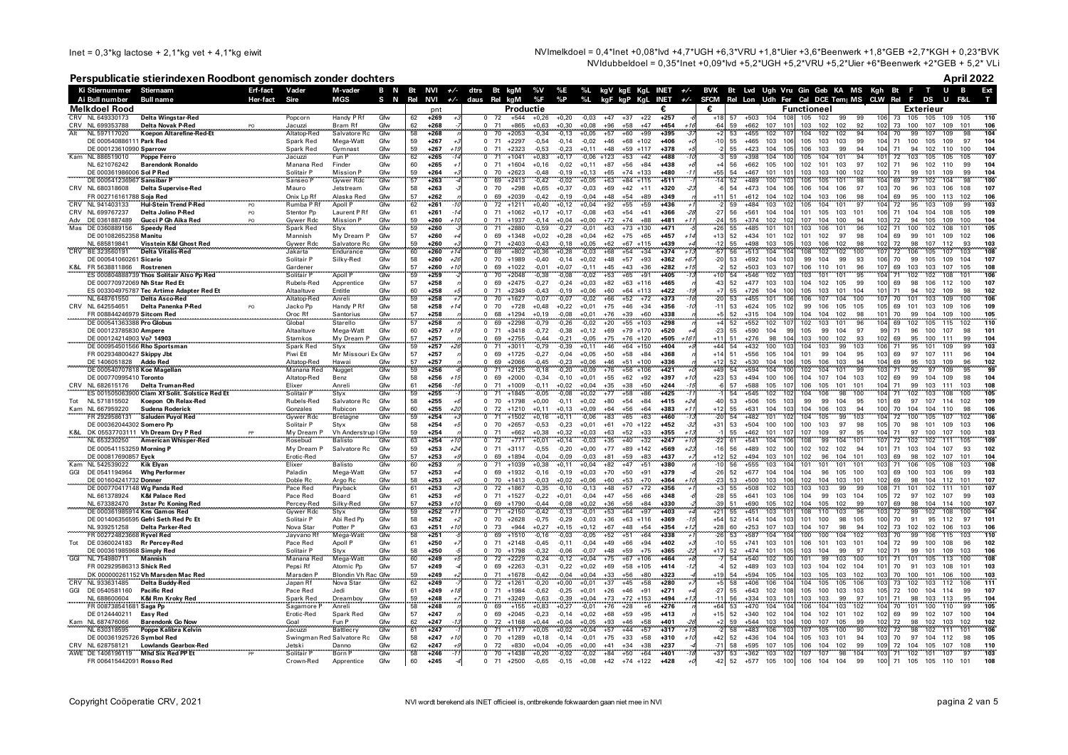Inet = 0,3\*kg lactose + 2,1\*kg vet + 4,1\*kg eiwit  $N$ Imelkdoel = 0,4\*Inet +0,08\*lvd +4,7\*UGH +6,3\*VRU +1,8\*Uier +3,6\*Beenwerk +1,8\*GEB +2,7\*KGH + 0,23\*BVK NVIdubbeldoel = 0,35\*Inet +0,09\*lvd +5,2\*UGH +5,2\*VRU +5,2\*Uier +6\*Beenwerk +2\*GEB + 5,2\* VLi

# **Perspublicatie stierindexen Roodbont genomisch zonder dochters April 2022**

|     | Ki Stiernummer Stiernaam                            |                                                                           | Erf-fact | Vader                                | M-vader                         |             |          |                                    |                                    |                    |                    |                    |                    |                                            |                                    |               |                   | B N Bt NVI +/- dtrs Bt kgM %V %E %L kgV kgE KgL INET +/- BVK Bt Lvd Ugh Vru Gin Geb KA MS Kgh Bt F T U B  |                               |                       |                          |            | Ext        |
|-----|-----------------------------------------------------|---------------------------------------------------------------------------|----------|--------------------------------------|---------------------------------|-------------|----------|------------------------------------|------------------------------------|--------------------|--------------------|--------------------|--------------------|--------------------------------------------|------------------------------------|---------------|-------------------|-----------------------------------------------------------------------------------------------------------|-------------------------------|-----------------------|--------------------------|------------|------------|
|     | Ai Bull number                                      | <b>Bull name</b>                                                          | Her-fact | Sire                                 | <b>MGS</b>                      | S N Rel NVI |          |                                    | $+\sqrt{-}$ daus Rel kgM           |                    |                    |                    |                    | %F %P %L kgF kgP KgL INET                  |                                    |               |                   | +/- SFCM Rel Lon Udh Fer Cal DCE Tem   MS CLW Rel F DS U                                                  |                               |                       |                          | F&L        |            |
|     | Melkdoel Rood                                       |                                                                           |          |                                      |                                 |             |          | pnt                                |                                    | Productie          |                    |                    |                    |                                            | €                                  |               | €                 | <b>Functioneel</b>                                                                                        |                               | Exterieur             |                          |            |            |
|     | CRV NL 649330173                                    | <b>Delta Wingstar-Red</b>                                                 |          | Popcorn                              | Handy P Rf                      | Gfw         | 62       | $+269$                             | $0\quad 72\quad +544$              |                    | $+0,26$            | $+0,20$            | $-0,03$            | $+47$<br>$+37$                             | $+22$<br>$+257$                    |               | $+18$             | 57 +503 104<br>108<br>105<br>102<br>99                                                                    | 99<br>106                     | 73<br>105             | 105<br>109               | 105        | 110        |
| Alt | CRV NL 699353788<br>NL 597117020                    |                                                                           |          | Jacuzzi<br>Altatop-Red               | Bram Rf<br>Salvatore Rc         | Gfw<br>Gfw  | 62<br>58 | $+268$<br>$+268$                   | 71<br>70                           | $+865$<br>$+2053$  | $+0,63$<br>$-0,34$ | $+0,30$<br>$-0.13$ | $+0,08$<br>$+0,05$ | $+96$<br>$+58$<br>$+57$<br>$+60$           | $+47$<br>+454<br>$+99$<br>$+395$   |               |                   | 59<br>+662<br>107<br>101<br>103<br>102<br>102<br>53<br>$+455$<br>102<br>104<br>102<br>107<br>102          | $\frac{92}{94}$<br>102        | 73<br>100<br>70<br>99 | 107<br>109<br>107<br>109 | 101        | 106<br>104 |
|     | DE 000540886111 Park Red                            |                                                                           |          | Spark Red                            | Mega-Watt                       | Gfw         | 59       | $+267$                             | $\mathbf 0$<br>71                  | $+2297$            | $-0,54$            | $-0,14$            | $-0,02$            | $+68$<br>$+46$<br>$+102$                   | +406                               |               | $-10$             | 55<br>$+465$<br>105<br>103<br>103<br>103<br>106                                                           | 99<br>104                     | 71<br>100             | 105<br>109               | 97         | 104        |
|     | DE 000123610990 Sparrow                             |                                                                           |          | Spark Red                            | Gymnast                         | Gfw         | 59       | $+267$<br>$+1!$                    | $0$ 71                             | $+2323$            | $-0,53$            | $-0,23$            | $+0,11$            | $+48$<br>$+59$ +117                        | $+378$                             |               |                   | $+423$<br>99<br>55<br>104<br>105<br>106<br>103                                                            | 94<br>104                     | 71<br>94              | 102<br>110               | 100        | 104        |
|     | Kam NL 886519010                                    | Poppe Ferro                                                               |          | Jacuzzi                              | Fun P                           | Gfw         | 62       | $+265$                             | 71<br>$\Omega$                     | $+1041$            | $+0,83$            | $+0,17$            | $-0,06$ +123       | $+53$                                      | $+42$<br>$+488$                    |               |                   | 104<br>$+398$<br>105<br>104<br>101<br>59<br>100                                                           | 94<br>101                     | 72<br>103             | 105<br>105               | 105        | 107        |
|     | NL 621076242                                        | <b>Barendonk Ronaldo</b>                                                  |          | Manana Red                           | Finder                          | Gfw         | 60       | $+265$                             | $\Omega$<br>71                     | $+1604$            | $+0,16$            | $-0,02$            | $+0,11$            | $+87$<br>$+56$                             | $+84$<br>$+438$                    |               |                   | 105<br>103<br>56<br>$+662$<br>100<br>102<br>101                                                           | 97<br>102                     | 71<br>96              | 102<br>110               | 99         | 104        |
|     | DE 000361986006 Sol P Red                           |                                                                           |          | Solitair P                           | <b>Mission P</b>                | Gfw         | 59       | $+264$                             | $\Omega$<br>70                     | $+2623$            | $-0,48$            | $-0,19$            | $+0,13$            | $+74$<br>$+133$<br>$+65$                   | +480                               |               |                   | 54<br>+467<br>101<br>100<br>$10^{\circ}$<br>103<br>103                                                    | 102<br>100                    | 71<br>99              | 101<br>109               | 99         | 104        |
|     | DE 000541236967 Sansibar P                          |                                                                           |          | Sanseo F                             | <b>Gywer Rdc</b>                | Gfw         | 57       | $+263$                             | 69<br>$\Omega$                     | $+2413$            | $-0.42$            | $-0.02$            | $+0,05$            | $+63$<br>$+84$ +115                        | $+511$                             |               |                   | $+489$<br>100<br>105<br>101<br>52<br>105                                                                  | 98<br>104                     | 97<br>69              | 102<br>104               | 98         | 100        |
|     | CRV NL 680318608<br>FR 002716161788 Soia Red        | <b>Delta Supervise-Red</b>                                                |          | Mauro<br>Onix Lp Rf                  | Jetstream<br>Alaska Red         | Gfw<br>Gfw  | 58<br>57 | $+263$<br>$+262$                   | $^{\circ}$<br>70<br>69<br>$\Omega$ | $+298$<br>$+2039$  | $+0,65$<br>$-0.42$ | $+0,37$<br>$-0.19$ | $-0,03$<br>$-0.04$ | $+69$<br>$+42$<br>$+11$<br>$+48$<br>$+54$  | $+320$<br>$+89$<br>$+349$          |               |                   | $+473$<br>104<br>106<br>54<br>106<br>106<br>104<br>104<br>51<br>$+612$<br>102<br>104<br>103<br>106        | 97<br>103<br>104<br>98        | 70<br>96<br>69<br>95  | 103<br>106<br>100<br>113 | 108<br>102 | 107<br>106 |
|     | NL 941403133                                        | Hul-Stein Trend P-Red                                                     |          | Rumba P Rf                           | Apoll P                         | Cfw         | 62       | $+261$                             | 72                                 | $+1211$            | $+0,40$            | $+0,12$            | $+0,04$            | $+55$<br>$+92$                             | $+59$<br>$+436$                    |               |                   | 103<br>101<br>$+484$<br>105<br>104                                                                        | $-97$<br>104                  | 95<br>72              | 103<br>109               |            | 103        |
|     | CRV NL 699767237                                    | Delta Jolino P-Red                                                        | PO       | Stentor Pp                           | Laurent P Rf                    | Gfw         | 61       | $+261$                             | 71<br>$\Omega$                     | $+1062$            | $+0.17$            | $+0.17$            | $-0,08$            | $+63$<br>$+54$                             | $+41$<br>$+366$                    |               | $-27$             | 56<br>$+561$<br>104<br>101<br>103<br>101<br>104<br>105                                                    | 106                           | 71<br>104             | 104<br>108               | 105        | 109        |
| Adv | DE 0361887489                                       | Gucci P Gh Aika Red                                                       | PO.      | Gvwer Rdc                            | Mission P                       | Gfw         | 59       | $+260$<br>$+10$                    | 71<br>$\Omega$                     | $+1937$            | $-0.14$            | $+0.04$            | $+0.00$            | $+72$<br>$+74$                             | $+88$<br>$+481$                    | $+11$         | $-24$             | 55<br>$+374$<br>102<br>102<br>107<br>104<br>100                                                           | 94<br>103                     | 72<br>94              | 105<br>109               | 100        | 104        |
|     | Mas DE 0360889156                                   | <b>Speedy Red</b>                                                         |          | Spark Red                            | Styx                            | Gfw         | 59       | $+260$                             | $\overline{0}$<br>71               | $+2880$            | $-0,59$            | $-0,27$            | $-0,01$            | $+63$<br>$+73$ +130                        | $+471$                             |               | $+26$             | $+485$<br>101<br>55<br>103<br>106<br>101                                                                  | 96<br>102<br>71               | 100                   | 102<br>108               | 101        | 105        |
|     | DE 001082652358 Manitu                              |                                                                           |          | Mannish                              | My Dream P                      | Gfw         | 57       | $+260$                             | 69<br>$\Omega$                     | $+1348$            | $+0,02$            | $+0,28$            | $+0,04$            | $+62$<br>$+75$                             | $+65$<br>$+457$                    |               | $+13$             | 52<br>$+434$<br>101<br>101<br>102<br>97<br>102                                                            | 98<br>104                     | 69<br>99              | 101<br>109               | 102        | 106        |
|     | NI 685819841                                        | Visstein K&I Ghost Red                                                    |          | Gywer Rdc                            | Salvatore Rc                    | Gfw         | 59       | $+260$                             | 71<br>$\Omega$                     | $+2403$            | $-0.43$            | $-0.18$            | $+0.05$            | $+62$<br>$+67$<br>$+115$                   | $+439$                             |               | $-12$             | $+498$<br>103<br>103<br>106<br>102<br>55<br>10F                                                           | 98<br>102                     | 72<br>98              | 107<br>112               | 93         | 103        |
| CRV | BE 323560191                                        | <b>Delta Vitalis-Red</b>                                                  |          | Jakarta                              | Endurance                       | Gfw         | 60       | +260                               | 69<br>$^{\circ}$                   | $+802$             | $+0,36$            | $+0,28$            | $-0,03$            | $+54$<br>$+68$                             | $+34$<br>$+374$                    |               | -51               | $+513$<br>104<br>102<br>108<br>102<br>-56<br>104                                                          | 107<br>100                    | 72<br>106             | 107<br>105               | 103        | 108        |
| K&L | DE 000541060261 Sicario<br>FR 5638811866            | Rostrenen                                                                 |          | Solitair P<br>Gardener               | Silky-Red                       | Gfw<br>Gfw  | 58<br>57 | $+260$<br>$+2t$<br>$+260$<br>$+11$ | 70<br>$\Omega$<br>69<br>$\Omega$   | $+1989$<br>$+1022$ | $-0,40$<br>$-0,01$ | $-0,14$<br>$+0,07$ | $+0,02$<br>$-0,11$ | $+48$<br>$+57$<br>$+45$<br>$+43$           | $+93$<br>$+362$<br>$+282$<br>$+36$ | $+6$<br>$+11$ | $-2$              | 53<br>$+692$<br>104<br>99<br>103<br>99<br>104<br>$+503$<br>103<br>107<br>106<br>110<br>101<br>52          | 93<br>106<br>107<br>96        | 70<br>99<br>69<br>103 | 105<br>109<br>103<br>107 | 104<br>105 | 107<br>108 |
|     |                                                     | ES 000804888739 Thos Solitair Also Pp Red                                 |          | Solitair P                           | <b>Apoll P</b>                  | Gfw         | 59       | $+259$                             | 70                                 | $+2048$            | $-0,38$            | $-0,08$            | $-0,02$            | $+53$<br>$+65$                             | $+405$<br>$+91$                    |               |                   | 102<br>101<br>54<br>$+546$<br>103<br>101                                                                  | 95<br>104<br>71               | 102                   | 102<br>108               | 101        | 106        |
|     |                                                     | DE 000770972069 Nh Star Red Et                                            |          | Rubels-Red                           | Apprentice                      | Gfw         | 57       | $+258$                             | $\Omega$<br>69                     | $+2475$            | $-0,27$            | $-0,24$            | $+0,03$            | $+82$<br>$+63$<br>$+116$                   | $+465$                             |               |                   | 52<br>$+477$<br>103<br>105<br>103<br>104<br>102                                                           | 100<br>99                     | 69<br>98              | 106<br>112               | 100        | 107        |
|     |                                                     | ES 003304975787 Tec Artime Adapter Red Et                                 |          | Altaaltuve                           | Entitle                         | Gfw         | 60       | $+258$                             | 71<br>$\Omega$                     | $+2349$            | $-0,43$            | $-0,19$            | $+0,06$            | $+60$<br>$+64$ +113                        | $+422$                             |               |                   | $+726$<br>104<br>105<br>103<br>101<br>55<br>100                                                           | 104<br>101<br>71              | 94                    | 109<br>102               | 98         | 102        |
|     | NL 648761550                                        | <b>Delta Asco-Red</b>                                                     |          | Altatop-Red                          | Anrel                           | Gfw         | 59       | $+258$                             |                                    | $+1627$            | $-0.07$            | $-0,07$            | $-0,02$            | $+66$<br>$+52$                             | $+72$<br>$+373$                    |               |                   | 104<br>101<br>106<br>$+455$<br>107                                                                        | 100<br>107                    | 70                    | 109                      | 100        | 106        |
|     | CRV NL 642554651                                    | Delta Panenka P-Red                                                       | PO       | Jacko Pp                             | Handy P Rf                      | Gfw         | 58       | $+258$<br>$+1$                     | 70<br>$\Omega$                     | $+728$             | $+0,48$            | $+0,22$            | $+0,01$            | $+75$<br>$+46$                             | $+34$<br>$+356$                    |               |                   | 53<br>$+624$<br>105<br>99<br>106<br>105<br>102                                                            | 105<br>105                    | 69<br>101             | 103<br>109               | 106        | 109        |
|     | FR 008844246979 Sitcom Red                          |                                                                           |          | Oroc Rf                              | Santorius                       | Gfw         | 57       | $+258$                             | 68<br>$\Omega$                     | $+1294$            | $+0,19$            | $-0,08$            | $+0,01$            | $+39$<br>$+76$                             | $+60$<br>$+338$                    |               |                   | 102<br>52<br>$+315$<br>104<br>109<br>104<br>104                                                           | 98<br>101                     | 70<br>99              | 104<br>109               | 100        | 105        |
|     | DE 000541363388 Pro Globus                          |                                                                           |          | Global<br>Altaaltuve                 | Starello                        | Gfw<br>Gfw  | 57       | $+258$<br>$+257$                   | 69<br>$\mathbf 0$<br>71            | $+2298$<br>$+3418$ | $-0,79$<br>$-0.72$ | $-0,26$<br>$-0,38$ | $-0,02$            | $+20$<br>$+55 +103$<br>$+170$              | $+298$<br>$+520$                   |               |                   | 101<br>$+552$<br>102<br>102<br>103<br>52<br>55<br>$+590$<br>104<br>105<br>99<br>104<br>99                 | 96<br>104<br>97<br>99         | 69<br>02<br>71<br>96  | 105<br>115<br>100<br>107 | 102<br>98  | 110<br>101 |
|     | DE 000123785830 Ampere<br>DE 000124214903 Vo? 14903 |                                                                           |          | Stamkos                              | Mega-Watt<br>My Dream P         | Gfw         | 60<br>57 | $+257$                             | 69                                 | $+2755$            | $-0,44$            | $-0,21$            | $+0,12$<br>$-0,05$ | $+69$<br>$+79$<br>$+75$<br>$+76$<br>$+120$ | $+505$                             | $+161$        |                   | $+276$<br>98<br>103<br>100<br>102                                                                         | 93<br>102                     | 69<br>95              | 100<br>111               | 99         | 104        |
|     |                                                     | DE 000954501566 Rho Sportsman                                             |          | Spark Red                            | Styx                            | Gfw         | 59       | $+257$                             |                                    | $+3011$            | $-0.79$            | $-0.39$            | $+0,11$            | $+46$<br>$+64$<br>$+150$                   | $+404$                             |               |                   | 54<br>104<br>99<br>$+432$<br>100<br>103                                                                   | 103                           |                       | 109                      |            | 103        |
|     | FR 002934800427 Skippy Jbt                          |                                                                           |          | Piwi Etl                             | Mr Missouri Ex Gfw              |             | 57       | $+257$                             | $\Omega$<br>69                     | $+1725$            | $-0,27$            | $-0,04$            | $+0,05$            | $+50$<br>$+58$                             | $+84$<br>$+368$                    |               | $+1$              | 51<br>$+556$<br>105<br>101<br>99<br>104<br>10 <sub>4</sub>                                                | 95<br>103                     | 69<br>97              | 107<br>111               | 96         | 104        |
|     | DE 1406051828 Addo Red                              |                                                                           |          | Altatop-Red                          | Hawai                           | Gfw         | 57       | $+257$                             | 69<br>$\Omega$                     | $+2066$            | $-0.45$            | $-0.23$            | $+0.06$            | $+46$<br>$+51$<br>$+100$                   | $+336$                             |               | $+1$              | 52<br>$+530$<br>104<br>101<br>105<br>106<br>103                                                           | 94<br>104                     | 69<br>95              | 103<br>109               | 96         | 102        |
|     |                                                     | DE 000540707818 Koe Magellan                                              |          | Manana Red                           | Nugget                          | Gfw         | 59       | $+256$                             | $\Omega$                           | $+2125$            | $-0.18$            | $-0.20$            | $+0.09$            | $+56$<br>$+76$<br>$+106$                   | $+421$                             |               | $+4$              | 104<br>102<br>101<br>54<br>$+594$<br>104                                                                  | 99<br>103<br>71               |                       | 109<br>97                | 95         | 99         |
|     | DE 000770995410 Toronto                             |                                                                           |          | Altatop-Red                          | Benz                            | Gfw         | 58       | $+256$<br>$+1$                     | $\Omega$<br>69                     | $+2000$            | $-0.34$            | $-0.10$            | $+0,01$            | $+55$<br>$+62$                             | $+92$<br>$+397$                    |               | $+2$              | 53<br>$+494$<br>100<br>104<br>107<br>104<br>10f                                                           | 103<br>102                    | 69<br>99              | 109<br>104               | 98         | 104        |
|     | CRV NL 682615176                                    | <b>Delta Truman-Red</b><br>ES 001505063900 Ciam Xf Solit. Solstice Red Et |          | Elixer<br>Solitair P                 | Anreli<br>Styx                  | Gfw<br>Gfw  | 61<br>59 | $+256$<br>$+255$                   | 71<br>$\Omega$<br>71<br>$^{\circ}$ | $+1009$<br>$+1845$ | $-0.11$<br>$-0.05$ | $+0.02$<br>$-0,08$ | $+0.04$<br>$+0,02$ | $+35$<br>$+38$<br>$+58$<br>$+77$           | $+50$<br>$+244$<br>$+425$<br>$+86$ |               |                   | 57<br>$+588$<br>105<br>107<br>106<br>105<br>101<br>101<br>$+545$<br>104<br>98<br>102<br>106<br>54         | 104<br>71<br>100<br>104       | 99<br>71<br>102       | 103<br>111<br>103<br>108 | 103<br>100 | 108<br>105 |
|     | Tot NL 571815502                                    | Koepon Oh Relax-Red                                                       |          | Rubels-Red                           | Salvatore Rc                    | Gfw         | 58       | $+255$                             | $\Omega$<br>70                     | $+1798$            | $+0,00$            | $-0,11$            | $+0,02$            | $+54$<br>$+80$                             | $+84$<br>$+415$                    | $+24$         |                   | 53<br>$+506$<br>105<br>99<br>99<br>104<br>103                                                             | 95<br>101                     | 69<br>97              | 107<br>114               | 102        | 109        |
|     | Kam NL 667959220                                    | Sudena Roderick                                                           |          | Gonzales                             | Rubicon                         | Gfw         | 60       | $+255$<br>+21                      | 72<br>$\Omega$                     | $+1210$            | $+0.11$            | $+0.13$            | $+0.09$            | $+56$<br>$+64$                             | $+383$<br>$+64$                    | $+1$          | $+1$              | $+631$<br>104<br>104<br>106<br>103<br>55<br>10'                                                           | 94<br>100                     | 70<br>104             | 104<br>110               | 98         | 106        |
|     | FR 2929586131                                       | Saluden Puyol Red                                                         |          | Gywer Rdc                            | Bretagne                        | Gfw         | 59       | $+254$                             | $^{\circ}$<br>71                   | $+1502$            | $+0,16$            | $+0,11$            | $-0,06$            | $+83$<br>$+65$                             | $+460$<br>$+63$                    |               |                   | 104<br>$+482$<br>99<br>54<br>101<br>105<br>10                                                             | 103<br>104                    | 72<br>00              | 107<br>105               | 102        | 106        |
|     | DE 000362044302 Somero Pp                           |                                                                           |          | Solitair P                           | Styx                            | Gfw         | 58       | $+254$                             | $\Omega$<br>70                     | $+2657$            | $-0,53$            | $-0,23$            | $+0,01$            | $+70$ +122<br>$+61$                        | $+452$                             | -32           | $+31$             | 97<br>53<br>$+504$<br>100<br>100<br>103<br>100                                                            | 105<br>98                     | 70<br>98              | 101<br>109               | 103        | 106        |
|     |                                                     | K&L DK 05537703111 Vh Dream Dry P Red                                     |          | My Dream P                           | Vh Anderstrup I Gfw             |             | 59       | $+254$                             | $\Omega$<br>71                     | $+662$             | $+0,38$            | $+0,32$            | $+0,03$            | $+63$<br>$+52$                             | $+33$<br>$+355$                    |               |                   | 97<br>$+462$<br>101<br>107<br>109<br>55<br>107                                                            | 95<br>104<br>71               | 97                    | 100<br>107               | 100        | 103        |
|     | NL 653230250                                        | <b>American Whisper-Red</b>                                               |          | Rosebud                              | <b>Balisto</b>                  | Gfw         | 63       | $+254$                             | 72<br>$^{\circ}$                   | $+771$             | $+0,01$            | $+0,14$            | $-0,03$            | $+35$<br>$+40$                             | $+247$<br>$+32$                    |               |                   | 99<br>$+541$<br>104<br>104<br>108<br>61<br>101                                                            | 101<br>107                    | 72<br>02              | 111<br>102               | 105        | 109        |
|     | DE 000541153259 Morning P<br>DE 000817690857 Eyck   |                                                                           |          | My Dream P<br>Erotic-Red             | Salvatore Rc                    | Gfw<br>Gfw  | 59<br>57 | $+253$<br>$+24$<br>$+253$          | $\Omega$<br>71<br>$\Omega$<br>69   | $+3117$<br>$+1894$ | $-0,55$<br>$-0,04$ | $-0,20$<br>$-0,09$ | $+0,00$<br>$-0,03$ | $+77$<br>$+89$<br>$+142$<br>$+59$<br>$+81$ | $+569$<br>$+83$<br>$+437$          | $+23$         | $-11$<br>$+12$    | 102<br>56<br>$+489$<br>102<br>102<br>102<br>100<br>$+494$<br>103<br>104<br>101<br>52<br>102<br>96<br>101  | 94<br>101<br>103              | 71<br>103<br>69<br>98 | 104<br>107<br>107<br>102 | 93<br>101  | 102<br>104 |
|     | Kam NL 542539022                                    | Kik Elyar                                                                 |          | Elixer                               | <b>Balisto</b>                  | Gfw         | 60       | $+253$                             | $\Omega$<br>71                     | $+1039$            | $+0,38$            | $+0,11$            | $+0,04$            | $+47$<br>$+82$                             | $+51$<br>+380                      |               | $-10$             | 103<br>$+555$<br>101<br>101<br>101<br>56<br>101<br>104                                                    | 103                           | 71<br>106             | 108<br>105               | 103        | 108        |
|     | GGI DE 0541194964                                   | <b>Whg Performer</b>                                                      |          | Paladin                              | Mega-Watt                       | Gfw         | 57       | $+253$                             | $\Omega$<br>69                     | $+1932$            | $-0,16$            | $-0,19$            | $+0,03$            | $+70$<br>$+50$                             | $+91$<br>$+379$                    |               | $-26$             | 52<br>$+677$<br>104<br>104<br>105<br>104<br>96                                                            | 103<br>100                    | 69<br>100             | 106<br>103               | 99         | 103        |
|     | DE 001604241732 Donner                              |                                                                           |          | Doble Rc                             | Argo Rc                         | Gfw         | 58       | $+253$                             | 70<br>$^{\circ}$                   | $+1413$            | $-0,03$            | $+0,02$            | $+0,06$            | $+60$<br>$+53$                             | $+70$<br>$+364$                    |               | -2                | 104<br>53<br>$+500$<br>103<br>106<br>102<br>103<br>101                                                    | 102                           | 69<br>98              | 104<br>112               | 101        | 107        |
|     |                                                     | DE 000770417148 Wg Panda Red                                              |          | Pace Red                             | Payback                         | Gfw         | 61       | $+253$                             | 72<br>$\Omega$                     | $+1867$            | $-0,35$            | $-0,10$            | $-0,13$            | $+48$<br>$+57$                             | $+72$<br>$+356$                    |               |                   | $+508$<br>102<br>103<br>103<br>55<br>99                                                                   | 108<br>99                     | 71<br>101             | 111<br>102               | 101        | 107        |
|     | NL 661378924                                        | <b>K&amp;I Palace Red</b>                                                 |          | Pace Red                             | Board                           | Gfw         | 61       | $+253$                             | 71<br>$\Omega$                     | $+1527$            | $-0.22$            | $+0.01$            | $-0,04$            | $+47$<br>$+56$                             | $+66$<br>$+348$                    |               | -28               | 55<br>$+641$<br>103<br>104<br>99<br>103<br>106                                                            | 104<br>105                    | 72<br>97              | 102<br>107               | 99         | 103        |
|     | NL 673382470                                        | 3star Pc Koning Red<br>DE 000361985914 Kns Gamos Red                      |          | Percey-Red<br>Gywer Rdc              | Silky-Red<br>Styx               | Gfw<br>Gfw  | 57<br>59 | $+253$<br>$+252$<br>$+7$           | 69<br>71                           | $+1790$<br>$+2150$ | $-0.44$<br>$-0,42$ | $-0,08$<br>$-0,13$ | $+0,02$<br>$-0,01$ | $+36$<br>$+56$<br>$+53$<br>$+64$           | +330<br>$+84$<br>$+403$<br>$+97$   |               |                   | $+690$<br>105<br>104<br>105<br>102<br>51<br>102<br>103<br>108<br>103<br>55<br>$+451$<br>110               | 99<br>107<br>96<br>103        | 69<br>98<br>72        | 114<br>104               | 100<br>100 | 107<br>104 |
|     |                                                     | DE 001406356595 Gefri Seth Red Pc Et                                      |          | Solitair P                           | Abi Red Pp                      | Gfw         | 58       | $+252$                             | $\Omega$<br>70                     | $+2628$            | $-0,75$            | $-0,29$            | $-0,03$            | $+36$<br>$+63$<br>$+116$                   | $+369$                             |               | $+54$             | 52<br>$+514$<br>104<br>101<br>100<br>98<br>103                                                            | 105<br>100                    | 70<br>91              | 102<br>95<br>112         | 97         | 101        |
|     | NL 939251258                                        | Delta Parker-Red                                                          |          | Nova Star                            | Potter P                        | Gfw         | 63       | $+251$<br>$+11$                    | 73<br>$\Omega$                     | $+944$             | $+0,27$            | $+0,15$            | $+0,12$            | $+67$<br>$+48$                             | $+54$<br>$+354$                    | $+12$         | $+28$             | 60<br>$+253$<br>107<br>104<br>107<br>98<br>103                                                            | 94<br>102                     | 73<br>102             | 102<br>106               | 103        | 106        |
|     | FR 002724823668 Ryvel Red                           |                                                                           |          | Jayvano Rf                           | Mega-Watt                       | Gfw         | 58       | $+251$                             | 69<br>$\Omega$                     | $+1510$            | $-0.16$            | $-0.03$            | $-0.05$            | $+51$<br>$+52$                             | $+64$<br>$+338$                    |               | -21               | 102<br>53<br>$+587$<br>104<br>100<br>100<br>104                                                           | 103                           | 70<br>99              | 115<br>106               | 103        | 110        |
| Tot |                                                     | DE 0360024183 Rr Percey-Red                                               |          | Pace Red                             | Apoll P                         | Gfw         | 61       | $+250$                             | 71<br>$\Omega$                     | $+2148$            | $-0.45$            | $-0,11$            | $-0,04$            | $+49$<br>$+66$                             | $+94$<br>$+402$                    |               | $-10$             | 55<br>$+741$<br>103<br>106<br>101<br>103<br>101<br>$10^{\circ}$                                           | 104                           | 72<br>99              | 108<br>100               | 96         | 102        |
|     | DE 000361985968 Simply Red                          |                                                                           |          | Solitair P                           | Styx                            | Gfw         | 58       | $+250$                             | 70<br>$\Omega$                     | $+1798$            | $-0.32$            | $-0.06$            | $-0.07$            | $+48$<br>$+59$                             | $+75$<br>$+365$                    |               | $+17$             | 52<br>$+474$<br>101<br>105<br>103<br>104<br>99                                                            | 97<br>102<br>71               | 99                    | 101<br>109               | 103        | 106        |
| GGI | NL 754980711                                        | <b>Mannish</b>                                                            |          | Manana Red                           | Mega-Watt                       | Gfw         | 60       | $+249$                             | 72<br>$\Omega$                     | $+2229$            | $-0,24$            | $-0,12$            | $+0,04$            | $+75$<br>$+67$<br>$+106$                   | $+464$                             |               |                   | $+540$<br>102<br>101<br>99<br>54<br>103<br>103                                                            | 100<br>101                    | 71<br>101             | 113<br>105               | 100        | 108        |
|     | FR 002929586313 Shick Red                           | DK 000000261152 Vh Marsden Mac Red                                        |          | Pepsi Rf<br>Marsden P                | Atomic Pp<br>Blondin Vh Rac Gfw | Gfw         | 57       | $+249$<br>$+249$                   | 69<br>$\Omega$<br>71<br>$\Omega$   | $+2263$<br>$+1678$ | $-0,31$<br>$-0.42$ | $-0,22$<br>$-0.04$ | $+0,02$<br>$+0.04$ | $+69$<br>$+58$ +105<br>$+56$<br>$+33$      | $+414$<br>$+80$<br>$+323$          |               |                   | 52<br>$+489$<br>103<br>103<br>104<br>102<br>104<br>$+594$<br>105<br>103<br>103<br>102<br>54<br>104<br>105 | 101<br>103                    | 70<br>91<br>70<br>100 | 103<br>108<br>101<br>106 | 101<br>100 | 103<br>103 |
|     | CRV NL 933631485                                    | Delta Buddy-Red                                                           |          | Japan Rf                             | Nova Star                       | Gfw         | 59<br>62 | $+249$                             | $\mathfrak{o}$<br>72               | $+1261$            | $-0,20$            | $+0,00$            | $+0,01$            | $+37$<br>$+45$                             | $+58$<br>$+280$                    |               |                   | 106<br>58<br>$+406$<br>106<br>105<br>104<br>105                                                           | 103 <sup>1</sup>              | 73<br>02              | 112<br>103               | 106        | 111        |
| GGI | DE 0540581160                                       | <b>Pacific Red</b>                                                        |          | Pace Red                             | Jedi                            | Gfw         | 61       | $+249$                             | 71<br>$^{\circ}$                   | $+1984$            | $-0,62$            | $-0,25$            | $+0,01$            | $+46$<br>$+26$                             | $+271$<br>$+91$                    |               | $-2$              | 55<br>$+643$<br>102<br>105<br>100<br>103<br>108                                                           | 103<br>105                    | 72<br>100             | 104<br>114               | 99         | 107        |
|     | NL 688600604                                        | K&I Rm Kroky Red                                                          |          | Spark Red                            | Dreamboy                        | Gfw         | 59       | $+248$                             | 71<br>$\Omega$                     | $+3249$            | $-0.63$            | $-0.39$            | $+0.04$            | $+73$<br>$+72$<br>$+153$                   | $+494$                             |               | $-1$ <sup>-</sup> | $+334$<br>103<br>103<br>103<br>56<br>99<br>$10^{\circ}$                                                   | 97<br>101<br>71               | 98                    | 103<br>113               | 95         | 104        |
|     | FR 00873854168                                      | Saga Pp                                                                   |          | Sagamore                             | Anreli                          | Gfw         | 58       | $+248$                             | 69                                 | $+155$             | $+0,83$            | $+0,27$            | $-0,01$            | $+28$<br>$+76$                             | $+276$<br>$+6$                     |               | $+6$              | $+470$<br>104<br>53<br>106<br>104<br>103                                                                  | 104<br>102<br>70              |                       |                          | 99         | 105        |
|     | DE 0124440211                                       | Easy Red                                                                  |          | Erotic-Red                           | Spark Red                       | Gfw         | 57       | $+247$                             | 69<br>$\Omega$                     | $+2045$            | $-0,23$            | $-0,14$            | $+0,02$            | $+68$<br>$+59$                             | $+95$<br>$+413$                    |               | $+15$             | 52<br>$+340$<br>102<br>104<br>102<br>101                                                                  | 102<br>102                    | 69<br>99              | 107<br>102               | 100        | 104        |
|     | Kam NL 687476066                                    | <b>Barendonk Go Now</b>                                                   |          | Goal                                 | Fun P                           | Gfw         | 62       | $+247$                             | 72<br>$\Omega$                     | $+1168$            | $+0,44$            | $+0,04$            | $+0,05$            | $+93$<br>$+46$                             | $+58$<br>$+401$                    |               |                   | $+544$<br>103<br>100<br>107<br>105<br>59<br>104                                                           | 72<br>102<br>99               | 98                    | 102<br>103               | 102        | 102        |
|     | NL 630318595<br>DE 000361925726 Symbol Red          | Poppe Kalibra Kelvin                                                      |          | Jacuzzi<br>Swingman Red Salvatore Rc | Battlecry                       | Gfw<br>Gfw  | 61<br>58 | $+247$<br>$+247$                   | 71<br>$\Omega$<br>70               | $+1177$<br>$+1289$ | $+0,05$<br>$+0,18$ | $+0,02$<br>$-0,14$ | $+0,04$<br>$-0,01$ | $+57$<br>$+44$<br>$+33$<br>$+75$           | $+57$<br>$+317$<br>$+58$<br>$+310$ |               | $+4$              | 58<br>$+483$<br>106<br>107<br>105<br>100<br>$+436$<br>105<br>103<br>101<br>52<br>104<br>104               | 102<br>90<br>94<br>103        | 72<br>98<br>70<br>97  | 111<br>102<br>104<br>112 | 101<br>98  | 106<br>105 |
|     | CRV NL 628758121                                    | <b>Lowlands Gearbox-Red</b>                                               |          | Jetski                               | Danno                           | Gfw         | 62       | $+247$                             | 72<br>$\Omega$                     | $+830$             | $+0,04$            | $+0,05$            | $+0,00$            | $+41$<br>$+34$                             | $+38$<br>$+237$                    |               | $-71$             | 58<br>+595<br>107<br>105<br>106<br>104<br>102                                                             | 99<br>109                     | 72<br>104             | 105<br>107               | 108        | 110        |
|     | AWE DE 1406196119                                   | Mhd Six Red PP Et                                                         |          | Solitair P                           | Born P                          | Gfw         | 58       | $+246$                             | 70                                 | $+1438$            | $+0,20$            | $-0,02$            | $-0,02$            | $+84$<br>$+50$                             | $+64$<br>$+401$                    |               | $+37$             | 53<br>103<br>107<br>98<br>$+362$<br>107<br>102                                                            | 104<br>103 <sup>1</sup><br>71 | 102                   | 101<br>107               | 97         | 103        |
|     | FR 006415442091 Rosso Red                           |                                                                           |          | Crown-Red                            | Apprentice                      | Gfw         | 60       | $+245$                             | $0$ 71 +2500                       |                    | $-0,65$            | $-0,15$            | $+0,08$            | $+42$<br>$+74$ $+122$                      | $+428$                             |               | $-42$             | 52<br>$+577$<br>105<br>100<br>106 104 104                                                                 | 99                            | 100 71 105 105        | 110                      | 101        | 108        |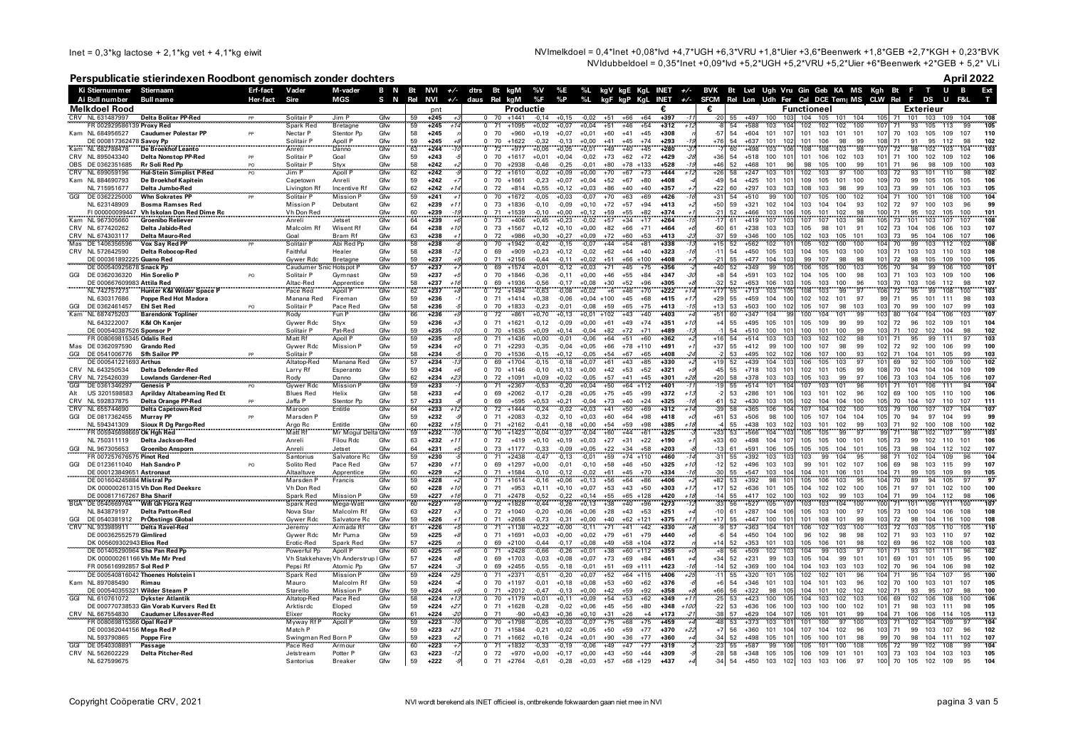Inet =  $0,3$ \*kg lactose + 2,1\*kg vet + 4,1\*kg eiwit

NVImelkdoel = 0.4\*lnet +0.08\*lvd +4.7\*UGH +6.3\*VRU +1.8\*Uier +3.6\*Beenwerk +1.8\*GEB +2.7\*KGH + 0.23\*BVK NVIdubbeldoel = 0,35\*lnet +0,09\*lvd +5,2\*UGH +5,2\*VRU +5,2\*Uier +6\*Beenwerk +2\*GEB + 5,2\* VLi

### Perspublicatie stierindexen Roodbont genomisch zonder dochters

April 2022

|                                       | Ki Stiernummer Stiernaam                                           | Erf-fact | Vader                           | M-vader                            | B N        | <b>Bt</b>       | $NVI \rightarrow$        |            |                                  | dtrs Bt kgM        | %V                 | %E                 |                    |                                  |                     | %L kgV kgE KgL INET +/- |                         | BVK Bt Lvd Ugh Vru Gin Geb KA MS Kgh Bt F T U B |                                      |                 |                          |           |                 |                             |                          |            | Ext        |
|---------------------------------------|--------------------------------------------------------------------|----------|---------------------------------|------------------------------------|------------|-----------------|--------------------------|------------|----------------------------------|--------------------|--------------------|--------------------|--------------------|----------------------------------|---------------------|-------------------------|-------------------------|-------------------------------------------------|--------------------------------------|-----------------|--------------------------|-----------|-----------------|-----------------------------|--------------------------|------------|------------|
| Ai Bull number                        | <b>Bull name</b>                                                   | Her-fact | Sire                            | MGS                                | S N        | Rel             | NVI                      | $+/-$ daus | Rel                              | kgM                | %F                 | %P                 | %L                 | kaF kaP KaL                      |                     | INET $+/$               | <b>SFCM</b>             | Rel Lon Udh Fer Cal DCE Tem MS CLW Rel F DS     |                                      |                 |                          |           |                 |                             | U                        | F&L        |            |
| Melkdoel Rood                         |                                                                    |          |                                 |                                    |            |                 | pnt                      |            |                                  | Productie          |                    |                    |                    |                                  |                     |                         | £.                      |                                                 |                                      | Functioneel     |                          |           |                 |                             | Exterieur                |            |            |
| CRV NL 631487997                      | <b>Delta Bolitar PP-Red</b>                                        | PP       | Solitair P                      | Jim P                              | Gfw        | 59              | $+245$                   |            | $\Omega$                         | $70 + 1441$        | $-0.14$            | $+0.15$            | $-0.02$            | $+66$<br>$+51$                   | $+64$               | $+397$                  | $-20$                   | 55<br>$+497$                                    | 100<br>103                           |                 | 104 105 101              | 104       | 105             | 101<br>71                   | 103<br>109               | 104        | 108        |
|                                       | FR 002929586139 Proxy Red                                          |          | Spark Red                       | Bretagne                           | Gfw        | 59              | $+245$<br>$+1$           |            | 71<br>$\overline{0}$             | $+1095$            | $+0,02$            | $+0,07$            | $+0,04$            | $+51$<br>$+46$                   | $+54$               | $+312$                  |                         | 54<br>$+588$                                    | 103                                  | 104<br>102      | 102<br>102               | 100       | 107             | 93<br>71                    | 105<br>113               | 99         | 105        |
| Kam NL 684956527                      | <b>Caudumer Polestar PF</b>                                        | PP       | Nectar P                        | Stentor Pn                         | Gfw        | 58              | $+245$                   |            | 70<br>$\Omega$                   | $+960$             | $+0,19$            | $+0,07$            | $+0,01$            | $+60$<br>$+41$                   | $+45$               | $+308$                  | $-57$                   | 54<br>$+604$                                    | 101<br>107                           | 101             | 103<br>101               | 101       | 107             | 70<br>103                   | 105<br>109               | 107        | 110        |
|                                       | DE 000817362478 Savoy Pp                                           |          | Solitair P                      | Apoll P                            | Gfw        | 59<br>63        | $+245$                   |            | 70                               | $+1622$            | $-0.32$            | $-0.13$            | $+0.00$            | $+45$<br>$+41$                   | $+74$               | $+293$                  | $+76$                   | $+637$<br>54                                    | 101<br>102                           | 101             | 106<br>98                | 99        | 108             | 71<br>91                    | 95<br>112                |            | 102<br>103 |
| Kam NL 682788478                      | De Broekhof Leanto                                                 |          | Anreli                          | Danno                              | Gfw        |                 | $+244$                   |            | 72                               | $+977$             | +0,06              | $+0,05$            | $+0,01$            | $+49$<br>$+40$                   | $+45$               | $+280$                  |                         | 60<br>$+498$                                    | 103<br>106                           | 108             | 108<br>103               | 98        | 107             | 72<br>98                    | 103<br>102               |            |            |
| CRV NL 895043340<br>OBS DE 0362351685 | Delta Nonstop PP-Red                                               | PP       | Solitair P                      | Goal                               | Gfw        | 59<br>58        | $+243$                   |            | 70<br>$\Omega$<br>70<br>$\Omega$ | $+1617$<br>$+2938$ | $+0,01$            | $+0,04$            | $-0,02$            | $+73$<br>$+62$<br>$+80$<br>$+78$ | $+72$<br>$+133$     | $+429$                  | $+36$<br>$\triangle AB$ | 54<br>$+518$<br>52<br>$+468$                    | 100<br>101<br>101                    | 101<br>96<br>98 | 102<br>106<br>100<br>105 | 103<br>99 | 101<br>101      | 71<br>100<br>71<br>96       | 102<br>109<br>98<br>109  | 102<br>100 | 106        |
| <b>CRV</b><br>NL 699059196            | Rr Soli Red Pp<br><b>Hul-Stein Simplist P-Red</b>                  | PO<br>PO | Solitair P<br>Jim P             | Styx<br>Apoll I                    | Gfw<br>Gfw | 62              | $+242$<br>$+242$         |            | 72                               | +1610              | $-0,46$<br>$-0,02$ | $-0,25$<br>$+0,09$ | $-0,01$<br>$+0,00$ | $+70$<br>$+67$                   | $+73$               | $+528$<br>$+444$        | $+26$                   | 58<br>$+247$                                    | 103                                  | 101<br>102      | 103<br>97                | 100       | 103             | 93<br>72                    | 110<br>101               | 98         | 103<br>102 |
| Kam NL 884690793                      | De Broekhof Kapitein                                               |          | Capetown                        | Anreli                             | Gfw        | 59              | $+242$                   |            | 70<br>$\Omega$                   | $+1661$            | $-0,23$            | $+0,07$            | $+0,04$            | $+52$<br>$+67$                   | $+80$               | $+408$                  | $-49$                   | 54<br>$+425$                                    | 101<br>101                           | 109             | 105<br>101               | 100       | 109             | 70<br>99                    | 105<br>105               | 105        | 106        |
| NL 715951677                          | Delta Jumbo-Red                                                    |          | Livington Rf                    | Incentive Rf                       | Gfw        | 62              | $+242$<br>$+1$           |            | 72<br>$\Omega$                   | $+814$             | $+0,55$            | $+0,12$            | $+0,03$            | $+86$<br>$+40$                   | $+40$               | $+357$                  | $+22$                   | 60<br>$+297$                                    | 103<br>103                           | 108             | 103<br>98                | 99        | 103             | 73<br>99                    | 101<br>106               | 103        | 105        |
| DE 0362225000                         | <b>Whn Sokrates PP</b>                                             |          | Solitair P                      | <b>Mission P</b>                   | Gfw        | 59              | $+241$                   |            | 70                               | $+1672$            | $-0,05$            | $+0,03$            | $-0,07$            | $+70$<br>$+63$                   | $+69$               | $+426$                  | $+31$                   | 54<br>$+510$                                    | 99<br>10(                            | 107             | 105<br>100               | 102       | 104             | 71<br>100                   | 108<br>101               | 100        | 104        |
| NL 623148909                          | <b>Bosma Ramses Red</b>                                            |          | <b>Mission P</b>                | Debutant                           | Gfw        | 62              | $+239$<br>$+1$           |            | $\Omega$<br>73                   | $+1836$            | $-0,10$            | $-0,09$            | $+0,10$            | $+72$<br>$+57$                   | $+94$               | $+413$                  | $+50$                   | 59<br>$+321$                                    | 102<br>104                           | 103             | 104<br>104               | 93        | 102             | 72<br>97                    | 100<br>103               | 96         | 99         |
|                                       | FI 000000099447 Vh Iskolan Don Red Dime Rc                         |          | Vh Don Red<br>Anreli            |                                    | Gfw        | $\frac{60}{64}$ | $+239$                   |            | 71                               | $+1539$            | $-0,10$            | $+0,00$            | $+0,12$            | $+59$<br>$+55$                   | $+82$               | $+374$                  | -21                     | 52<br>$+466$                                    | 103<br>106                           | 105             | 102<br>101               | 98        | 100             | 71<br>95                    | 102<br>105               | 100        | 101        |
| NL 967305660                          | <b>Groenibo Reliever</b>                                           |          |                                 | Jetset                             | Gfw        |                 | $+239$                   |            | 73                               | $+406$             | $+0,45$            | $+0,23$            |                    | $+34$                            |                     | $+264$                  |                         | $+419$                                          | 107                                  | 107             | 103                      |           |                 | 73                          | 103<br>107               |            |            |
| CRV NL 677420262                      | Delta Jabido-Red                                                   |          | Malcolm Rf                      | Wisent Rf                          | Gfw        | 64              | $+238$                   |            | 73                               | $+1567$            | $+0,12$            | $+0,10$            | $+0,00$            | $+82$<br>$+66$                   | $+71$               | $+464$                  | -60                     | 61<br>$+238$                                    | 103<br>103                           | 105             | 98<br>101                | 91        | 102             | 73<br>104                   | 106<br>106               | 103        | 107        |
| CRV<br>NL 674303117                   | <b>Delta Mauro-Red</b>                                             |          | Goal                            | Bram Rf                            | Gfw<br>Gfw | 63<br>58        | $+238$<br>$+238$         |            | 72<br>70                         | +986               | $+0.30$            | $+0.27$            | $+0,09$            | $+72$<br>$+60$                   | $+53$               | $+413$                  | $-37$                   | 59<br>$+346$<br>$+562$                          | 100<br>105                           | 102             | 103<br>105               | 101       | 103             | 73<br>95<br>70 <sup>°</sup> | 104<br>106               | 107        | 106        |
| Mas DE 1406356596                     | Vox Say Red PP                                                     |          |                                 | Abi Red Pp                         |            |                 |                          |            |                                  | +1942              | 0.42               | $-0.15$            | $-0.07$            | $+44$<br>$+54$                   | $+81$               | $+338$                  |                         |                                                 | 102                                  | 105             |                          |           |                 | 99                          |                          |            | 108        |
| CRV NL 572642590                      | <b>Delta Robocop-Red</b><br>DE 000361892225 Guano Red              |          | Faithful<br>Gywer Rdc           | Healer                             | Gfw        | 58<br>59        | $+238$<br>$+237$         |            | 69<br>71                         | $+909$<br>$+2156$  | $+0,23$<br>$-0.44$ | $+0,12$<br>$-0.11$ | $-0,02$<br>$+0,02$ | $+62$<br>$+44$<br>$+51$<br>$+66$ | $+40$               | $+323$<br>+408          | $-11$<br>$-21$          | $+450$<br>54<br>55<br>$+477$                    | 105<br>103<br>104<br>103             | 104<br>99       | 105<br>103<br>107<br>98  | 100<br>98 | 103<br>101      | 71<br>103<br>72<br>98       | 103<br>110<br>105<br>109 | 103<br>100 | 108<br>105 |
|                                       | DE 000540925678 Snack Pp                                           |          | Caudumer Snic Hotspot P         | Bretagne                           | Gfw<br>Gfw | 57              | $+237$                   |            | 69                               | $+1574$            | $+0.01$            | $-0.12$            | $+0.03$            | $+45$<br>$+71$                   | +100<br>$+75$       | $+356$                  |                         | $+349$<br>52                                    | 99<br>10 <sup>t</sup>                | 106             | 105<br>100               | 103       |                 | 70                          | 99<br>106                | 100        | 101        |
| GGI<br>DE 0362036320                  | Hin Sorelio P                                                      | PO       | Solitair P                      | Gymnast                            | Gfw        | 59              | $+237$                   |            | 70<br>$\Omega$                   | $+1846$            | $-0,36$            | $-0,11$            | $+0,00$            | $+46$<br>$+55$                   | $+84$               | $+347$                  | $+8$                    | 54<br>$+591$                                    | 103<br>102                           | 104             | 105<br>100               | 98        | 103             | 71<br>103                   | 103<br>109               | 100        | 106        |
|                                       | DE 000667609983 Attila Red                                         |          | Altac-Red                       | Apprentice                         | Gfw        | 58              | $+237$<br>$+11$          |            | 69<br>$\Omega$                   | $+1936$            | $-0.56$            | $-0.17$            | $+0.08$            | $+30$<br>$+52$                   | $+96$               | $+305$                  | $-32$                   | 52<br>+653                                      | 106                                  | 103<br>105      | 100<br>103               | 96        | 103             | 70<br>103                   | 106<br>112               | 98         | 107        |
| NL 742757273                          | Hunter K&I Wilder Space P                                          |          | Pace Red                        | Apoll P                            | Gfw        | 62              | $+237$                   |            | $72\,$                           | $+1494$            | $-0,63$            | $-0,08$            | $+0,02$            | $+6$<br>$+46$                    | $+70$               | $+222$                  | $+17$                   | 55<br>$+713$                                    | 103<br>105                           | 108             | 103<br>99                | 97        | 106             | $72\,$<br>95                | 99<br>108                | 100        | 103        |
| NL 630317686                          | Poppe Red Hot Madora                                               |          | Manana Red                      | Fireman                            | Gfw        | 59              | $+236$                   |            | $\Omega$                         | $71 + 1414$        | $+0,38$            | $-0,06$            | $+0,04$ +100       | $+45$                            | $+68$               | $+415$                  | $+29$                   | 55<br>$+459$                                    | 104<br>100                           | 102             | 102<br>101               | 97        | 99              | 71<br>95                    | 101<br>111               | 98         | 103        |
| DE 0362461457<br>GGI                  |                                                                    |          | Solitair P                      | Pace Red                           | Gfw        | 58              | $+236$                   |            | 70<br>$\Omega$                   | $+1833$            | $-0.23$            | $-0.01$            | $-0.08$            | $+65$<br>$+59$                   | $+75$               | $+413$                  | $+13$                   | 53<br>+503                                      | 100<br>102                           | 105             | 107<br>98                | 103       | 103             | 70<br>99                    | 100<br>107               | 99         | 103        |
| Kam NL 687475203                      | <br>Barendonk Topliner                                             |          | Rody<br>Rody                    | Fun P                              | Gfw        | 66              | $+236$                   |            | $72\,$                           | $+861$             | $+0.70$            | $+0.13$            | $+0,01$            | $+102$<br>$+43$                  | $+40$               | $+403$                  | $+51$                   | 60<br>$+347$                                    | 104                                  | 100             | 104<br>101               |           |                 | 80<br>04                    | 106<br>104               | 103        | 107        |
| NL 643222007                          | K&I Oh Kanjer                                                      |          | Gywer Rdc                       | Styx                               | Gfw        | 59              | $+236$                   |            | 71<br>$\Omega$                   | $+1621$            | $-0,12$            | $-0,09$            | $+0,00$            | $+49$<br>$+61$                   | $+74$               | $+351$<br>$+11$         | $+4$                    | 55<br>$+495$                                    | 105<br>101                           | 105             | 109<br>99                | <b>gc</b> | 102             | 72<br>96                    | 102<br>109               | 101        | 104        |
|                                       | DE 000540387526 Sponsor P                                          |          | Solitair P                      | Pat-Red                            | Gfw        | 59              | $+235$<br>$-1$           |            | 70<br>$\Omega$                   | $+1635$            | $+0.09$            | $+0.14$            | $-0.04$            | $+72$<br>$+82$                   | $+71$               | +489<br>$-11$           |                         | 54<br>$+510$                                    | 100<br>101                           | 100             | 101<br>100               | 99        | 103             | 71<br>102                   | 102<br>104               | 98         | 102        |
|                                       | FR 008069815345 Odalis Red                                         |          | Matt Rf                         | Apoll P                            | Gfw        | 59              | $+235$                   |            | 71<br>$\Omega$                   | $+1436$            | $+0,00$            | $-0,01$            | $-0,06$            | $+64$<br>$+51$                   | $+60$               | $+362$                  | $+16$                   | 54<br>$+514$                                    | 103<br>10.3                          | 103             | 102<br>102               | 98        | 101             | 95<br>71                    | 99<br>111                | 97         | 103        |
| Mas DE 0362097590                     | <b>Grando Red</b>                                                  |          | Gywer Rdc                       | <b>Mission P</b>                   | Gfw        | 59              | $+234$                   |            | $\Omega$<br>- 71                 | $+2293$            | $-0,35$            | $-0,04$            | $+0,05$            | $+66$<br>$+78$                   | $+110$              | $+491$                  | $+37$                   | 55<br>$+412$                                    | 99<br>100                            | 100             | 98<br>107                | 99        | 102             | 72<br>92                    | 100<br>106               | 99         | 100        |
| GGI<br>DE 0541006776                  | <b>Sfh Sailor PP</b>                                               |          | Solitair P<br>Altatop-Red       |                                    | Gfw<br>Gfw | 58<br>57        | $+234$                   |            | 70<br>$\Omega$<br>69             | +1536              | $-0,15$            | $+0,12$            | $-0,05$            | $+54$<br>$+67$                   | $+65$               | $+408$                  |                         | +495<br>53                                      | 102<br>102<br>104                    | 106             | 107<br>100               | 93<br>97  | 102             | 71<br>104<br>92             | 105<br>101               | 99         | 103<br>102 |
| CRV NL 643250534                      | DE 000541221693 Arthus<br><b>Delta Defender-Red</b>                |          | Larry Rf                        | Manana Red<br>Esperanto            | Gfw        | 59              | $+234$<br>$+234$         |            | $\Omega$<br>70                   | $+1704$<br>$+1146$ | $-0,15$<br>$-0,10$ | $-0,18$<br>$+0,13$ | $+0,07$<br>$+0,00$ | $+61$<br>$+43$<br>$+53$<br>$+42$ | $+85$<br>$+52$      | $+330$<br>$+321$        | $-45$                   | 52<br>$+439$<br>55<br>$+718$                    | 10:<br>103<br>101                    | 106<br>102      | 103<br>105<br>101<br>105 | 99        | 108             | 69<br>70<br>104             | 109<br>100<br>104<br>104 | 100<br>109 | 109        |
| CRV NL 725426039                      |                                                                    |          |                                 | Danno                              | Gfw        |                 | +234                     |            | 72                               | $+1091$            | +0,09              | $+0,02$            | $-0,05$            | $+57$<br>$+41$                   | $+45$               | $+301$                  | $+20$                   | 58<br>$+378$                                    | 103<br>10.3                          | 105             | 99<br>103                | 97        | 106             | 73<br>103                   | 104<br>105               | 106        | 107        |
| GGI<br>DE 0361346297                  | Lowlands Gardener-Red<br>Lowlands Gardener-Red<br><b>Genesis P</b> |          | Rody<br>Gywer Rdc               | <b>Mission</b>                     | Gfw        | $\frac{62}{59}$ | $+233$                   |            | 71                               | $+2367$            | $-0,53$            | $-0,20$            | $+0,04$            | $+50$<br>$+64$                   | $+112$              | $+401$                  |                         | 55<br>$+514$                                    | 101                                  | 107             | 103<br>101               |           |                 | 71<br>101                   | 106<br>111               | 94         | 104        |
| US 3201598583<br>Alt                  | <b>Aprilday Altabeaming Red Et</b>                                 |          | <b>Blues Red</b>                | Helix                              | Gfw        | 58              | $+233$                   |            | 69<br>$\Omega$                   | $+2062$            | $-0,17$            | $-0,28$            | $+0,05$            | $+75$<br>$+45$                   | $+99$               | $+372$                  | $-2$                    | 53<br>$+286$                                    | 101<br>106                           | 103             | 101<br>102               | 96        | 102             | 69<br>100                   | 105<br>110               | 100        | 106        |
| CRV NL 592837875                      | Delta Orange PP-Red                                                |          | Jaffa P                         | Stentor Pp                         | Gfw        | 57              | $+233$                   |            | 69<br>$\Omega$                   | +595               | $+0,53$            | $+0,21$            | $-0,04$            | $+73$<br>$+40$                   | $+24$               | $+325$                  | -61                     | 52<br>$+430$                                    | 103<br>105                           | 102             | 104<br>104               | 100       | 105             | 70<br>104                   | 107<br>110               | 107        | 111        |
| CRV NL 655744690                      | <b>Delta Capetown-Red</b>                                          |          | Maroon                          | Entitle                            | Gfw        | 64              | $+233$<br>$+1$           |            | Ō                                | 72 +1444           | $-0,24$            | $-0.02$            | $+0,03$            | $+41$<br>$+50$                   | $+69$               | $+312$                  | $-39$                   | 58<br>$+365$                                    | 106<br>10 <sub>4</sub>               | 107             | 104<br>102               | 100       | 103             | 79<br>100                   | 107<br>107               | 104        | 107        |
| GGI<br>DE 0817362455                  | <b>Murray PP</b>                                                   |          | Marsden P                       |                                    | Gfw        | 59              | $+232$                   |            | 71<br>$\Omega$                   | $+2083$            | $-0,32$            | $-0,10$            | $+0,03$            | $+60$<br>$+64$                   | $+98$               | $+418$                  | $+61$                   | 53<br>$+506$                                    | 98<br>100                            | 105             | 107<br>104               | 104       | 105             | 70<br>94                    | 97<br>104                | 99         | 99         |
| NL 594341309                          | <b>Sioux R Dg Pargo-Red</b>                                        |          | Argo Rc                         | Entitle                            | Gfw        | 60              | $+232$<br>$+1$           |            | 71<br>$\Omega$                   | $+2162$            | $-0,41$            | $-0,18$            | $+0,00$            | $+59$<br>$+54$                   | $+98$               | $+385$                  |                         | 55<br>$+438$                                    | 103<br>102                           | 103             | 101<br>102               | 99        | 103             | 71<br>92                    | 100<br>108               | 100        | 102        |
|                                       | FR 005945698669 Ok Hah Red                                         |          | Matt Rf                         | Mr Mogul Delta Gfw                 |            | 59              | $+232$                   |            | 70                               | $+1423$            | $-0.04$            | $-0.07$            | $-0.04$            | $+60$<br>$+44$                   | $+61$               | $+325$                  | $+33$                   | 53<br>$+566$                                    | 104                                  | 103<br>105      | 99<br>105                | 97        | 99              | 98<br>71                    | 102<br>107               | 99         | 103        |
| NL 750311119                          | Delta Jackson-Red                                                  |          | Anreli                          | Filou Rdc                          | Gfw        | 63              | $+232$<br>$+1$           |            | 72<br>$\Omega$                   | $+419$             | $+0,10$            | $+0,19$            | $+0,03$            | $+27$<br>$+31$                   | $+22$               | $+190$                  | $+33$                   | 60<br>$+498$                                    | 104<br>107                           | 105             | 105<br>100               | 101       | 105             | 73<br>99                    | 102<br>110               | 101        | 106        |
| NL 967305653<br>GGI                   | <b>Groenibo Ansporn</b><br>FR 007257676575 Pinot Red               |          | Anreli<br>Santorius             | Jetset<br>Salvatore Rc             | Gfw<br>Gfw | 64<br>59        | $+231$<br>$+230$         |            | 73<br>$\Omega$<br>71             | $+1177$<br>$+2438$ | $-0.33$<br>$-0.47$ | $-0.09$<br>$-0.13$ | $+0.05$<br>$-0.01$ | $+22$<br>$+34$<br>$+59$          | $+58$<br>$+74$ +110 | $+203$<br>$+460$        | $-13$                   | 61<br>$+591$<br>$+392$<br>55                    | 106<br>105<br>103<br>103             | 105<br>103      | 105<br>104<br>99<br>104  | 101<br>95 | 105             | 73<br>98<br>71<br>102       | 104<br>112<br>104<br>109 | 102<br>96  | 107<br>104 |
| DE 0123611040<br>GGI                  | <b>Hah Sandro F</b>                                                | PO       | Solito Red                      | Pace Red                           | Gfw        | 57              | $+230$<br>$+1$           |            | 69<br>$\Omega$                   | $+1297$            | $+0,00$            | $-0,01$            | $-0,10$            | $+46$<br>$+58$                   | $+50$               | $+325$                  | $-12$                   | 52<br>$+496$                                    | 103<br>103                           | 99              | 101<br>102               | 107       | 106             | 69<br>98                    | 103<br>115               | 99         | 107        |
|                                       | DE 000123849651 Astronaut                                          |          | Altaaltuve                      | Apprentice                         | Gfw        | 60              | $+229$                   |            | 71<br>$\Omega$                   | $+1584$            | $-0.10$            | $-0.12$            | $-0.02$            | $+61$<br>$+45$                   | $+70$               | $+334$                  | -30                     | 55<br>$+547$                                    | 104<br>103                           | 104             | 101<br>106               | 101       | 104             | 71<br>99                    | 105<br>109               | 99         | 105        |
|                                       | DE 001604245884 Mistral Pp                                         |          | Marsden F                       | Francis                            | Gfw        | 59              | $+228$                   |            | 71                               | $+1614$            | $-0,16$            | $+0,06$            | $+0,13$            | $+56$<br>$+64$                   | $+86$               | $+406$                  | $+82$                   | $+392$<br>53                                    | 98<br>101                            | 105             | 106<br>103               | 95        |                 | 89<br>70                    | 94<br>105                | 97         | 97         |
|                                       | DK 000000261315 Vh Don Red Deeksro                                 |          | Vh Don Red                      |                                    | Gfw        | 60              | $+228$<br>$+1$           |            | 71<br>$\Omega$                   | $+953$             | $+0.11$            | $+0,10$            | $+0,07$            | $+43$<br>$+53$                   | $+50$               | $+303$                  | $+17$                   | 52<br>$+636$                                    | 101<br>105                           | 104             | 102<br>102               | 100       | 105             | 71<br>97                    | 101<br>102               | 100        | 100        |
|                                       | DE 000817167267 Bha Sharif                                         |          | Spark Red                       | Mission P                          | Gfw        | 59              | $+227$<br>$+11$          |            | 71<br>$\Omega$                   | $+2478$            | $-0.52$            | $-0.22$            | $+0.14$            | $+55$<br>$+65$                   | $+128$              | $+420$<br>$+7.$         | $-11$                   | $+417$<br>55                                    | 102<br>100                           | 103             | 102<br>99                | 103       | 104             | 71<br>99                    | 104<br>112               | 98         | 106        |
| <b>BGA</b><br>DE 0540669764           | Wifi Gh Flora Red                                                  |          | Spark Red                       | Mega-Watt                          | Gfw        | 60              | $+227$                   |            | 72<br>$\Omega$                   | $+1828$            | $-0,44$            | $-0,26$            | $+0,13$            | $+38$<br>$+40$                   | $+96$               | $+273$                  | $-33$                   | 56<br>$+527$                                    | 105<br>107                           | 103             | 104<br>103               | 100       | 100             | 71<br>101                   | 106<br>111               | 100        | 107        |
| NL 843879197                          | <b>Delta Patton-Red</b>                                            |          | Nova Star                       | Malcolm Rf                         | Gfw        | 63              | $+227$                   |            | 72<br>$\Omega$                   | $+1040$            | $-0,20$            | $+0,06$            | $+0,06$            | $+43$<br>$+28$                   | $+53$               | $+251$                  | $-10$                   | $+287$<br>61                                    | 104<br>106                           | 105             | 103<br>100               | 97        | 105             | 73<br>100                   | 104<br>106               | 108        | 108        |
| DE 0540381912<br>GGI                  | PrÖbstings Global                                                  |          | Gywer Rdc                       | Salvatore Rc                       | Gfw        | 59              | $+226$                   |            | 71<br>$\Omega$                   | $+2658$            | $-0,73$            | $-0,31$            | $+0,00$            | $+40$<br>$+62$                   | $+121$              | $+375$                  | $+17$                   | $+447$<br>55                                    | 100<br>101                           | 101             | 101<br>108               | 99        | 103             | 72<br>98                    | 104<br>116               | 100        | 108        |
| CRV<br>NL 933989911                   | <b>Delta Ravel-Red</b>                                             |          | Jeremy                          | Armada Rf                          | Gfw        | 61<br>59        | $+226$                   |            | 71<br>$\Omega$                   | $+1138$            | $+0,22$            | $+0,00$            | $-0,11$            | $+71$<br>$+41$                   | $+42$               | $+330$<br>$+440$        |                         | $+363$<br>57<br>$+450$<br>54                    | 104<br>101<br>100                    | 106             | 102<br>103               | 100<br>98 | 102             | 72<br>103                   | 105<br>110               | 105        | 110        |
|                                       | DE 000362552579 Gimlired<br>DK 005609302943 Elios Red              |          | Gywer Rdc<br>Erotic-Red         | Mr Puma<br>Spark Red               | Gfw<br>Gfw | 57              | $+225$<br>$+225$         |            | 71<br>69                         | $+1691$<br>$+2100$ | $+0,03$<br>$-0,44$ | $+0,00$<br>$-0,17$ | $+0,02$<br>$+0,08$ | $+61$<br>$+79$<br>$+49$<br>$+58$ | $+79$<br>$+104$     | $+372$                  |                         | 52<br>$+353$                                    | 104<br>101<br>103                    | 96<br>105       | 98<br>102<br>101<br>106  | 98        | 102             | 71<br>93<br>69<br>96        | 103<br>110<br>102<br>108 | 97<br>100  | 102<br>103 |
|                                       | DE 001405290964 Sha Pan Red Pr                                     |          | Powerful Pp                     | Apoll P                            | Gfw        | 60              | $+225$                   |            | 71                               | $+2428$            | $-0,66$            | $-0,26$            | $+0,01$            | $+38$<br>$+60$                   | $+112$              | $+359$                  |                         | $+509$<br>56                                    | 102                                  | 104             | 103<br>99                |           |                 | 93                          | 111                      | 96         | 102        |
|                                       | DK 000000261166 Vh Me Mr Pred                                      |          |                                 | Vh Stakkehave, Vh Anderstrup I Gfw |            | 57              | $+224$                   |            | 69<br>$\Omega$                   | $+1703$            | $-0,03$            | $+0,08$            | $+0,07$            | $+73$<br>$+69$                   | $+84$               | $+461$                  | $+34$                   | 52<br>$+231$                                    | 99<br>10.3                           | 105             | 104<br>99                | 101       | 101             | 69<br>101                   | 101<br>105               | 95         | 100        |
|                                       | FR 005616992857 Sol Red P                                          |          | Pepsi Rf                        | Atomic Pp                          | Gfw        | 57              | $+224$                   |            | 69                               | $+2455$            | $-0,55$            | $-0,18$            | $-0,01$            | $+51$<br>$+69$                   | $+111$              | $+423$                  | $-14$                   | 52<br>$+369$                                    | 100<br>104                           | 104             | 103<br>103               | 103       | 102             | 70<br>96                    | 104<br>106               | 98         | 102        |
|                                       | DE 000540816042 Thoenes Holstein                                   |          | <b>Spark Red</b>                | <b>Mission P</b>                   | Gfw        | 59              | $+224$<br>+2             |            | 71                               | $+2371$            | $-0,51$            | $-0,20$            | $+0,07$            | $+52$                            | $+64$ +115          | $+406$                  |                         | 55<br>$+320$                                    | 101<br>10 <sub>5</sub>               | 102             | 102<br>101               | 96        | 104             | 71<br>95                    | 107<br>104               | 95         | 100        |
| Kam<br>NL 897085490                   | Rimau                                                              |          | Mauro                           | Malcolm Rf                         | Gfw        | 59              | $+224$                   |            | $\Omega$<br>70                   | $+1197$            | $-0,01$            | $+0,18$            | $+0,08$            | $+53$<br>$+60$                   | $+62$               | $+376$                  |                         | 54<br>$+346$                                    | 101<br>10.3                          | 104             | 101<br>103               | 96        | 102             | 70<br>100                   | 103<br>101               | 107        | 105        |
|                                       | DE 000540355321 Wilder Steam P                                     |          | Starello                        | <b>Mission P</b>                   | Gfw        | 59              | $+224$                   |            | 71                               | $+2012$            | $-0,47$            | $-0,13$            | $+0,00$            | $+42$<br>$+59$                   | $+92$               | $+358$                  | $+66$                   | 56<br>$+322$                                    | 98<br>10 <sub>5</sub>                | 104             | 101<br>102               | 102       | 102             | 71<br>93                    | 95<br>107                | 98         | 100        |
| GGI<br>NL 610761072                   | <b>Dykster Atlantik</b>                                            |          | Altatop-Red                     | Pace Red                           | Gfw        | 58              | $+224$<br>$+1$           |            | 70<br>$\Omega$                   | $+1179$            | $+0.01$            | $+0.11$            | $+0.09$            | $+54$<br>$+53$                   | $+62$               | $+349$                  |                         | $+423$<br>53                                    | 100<br>10 <sup>5</sup>               | 104             | 103<br>102               | 103       | 106             | 69<br>102                   | 108<br>106               | 100        | 106        |
|                                       | DE 000770738533 Gin Vorab Kurvers Red Et                           |          | Arktisrdc                       | Eloped                             | Gfw        | 59              | $+224$<br>$+2i$          |            | $\Omega$<br>71                   | $+1628$            | $-0,28$            | $-0,02$            | $+0,06$            | $+45$<br>$+56$                   | $+80$               | $+348$<br>$+100$        | $-22$                   | 53<br>$+636$                                    | 106<br>100                           | 103             | 100<br>100               | 102       | 101             | 71<br>98                    | 103<br>111               | 98         | 105        |
| CRV NL 667554830                      | <b>Caudumer Lifesaver-Red</b>                                      |          | Elixer                          | Rocky                              | Gfw<br>Cfw | 61              | $+224$                   |            | 71<br>$\Omega$                   | -90                | $+0.43$            | $+0.36$            | $+0.10$            | $+31$<br>$+26$                   | $+4$                | $+173$                  | -38                     | 57<br>$+629$                                    | 104<br>107                           | 105             | 101<br>101               | 99        | 104             | 71<br>106                   | 106<br>114               | 105        | 113        |
|                                       | FR 008069815366 Opal Red P                                         |          | Myway Rf P                      | Apoll P                            |            | 59              | $+223$                   |            | 70                               | $+1798$            | $-0,05$            | $+0.03$            | $-0.07$            | $+68$<br>$+75$                   | $+75$               | $+459$                  |                         | 53<br>$+373$                                    | 103                                  | 101             | 100<br>97                | 100       |                 | 71                          | 109                      |            | $-104$     |
| NL 593790865                          | DE 000362044156 Mega Red P                                         |          | Match P                         |                                    | Gfw<br>Gfw | 59<br>59        | $+223$<br>$+2$<br>$+223$ |            | 71<br>$\Omega$<br>$\Omega$<br>71 | $+1584$<br>$+1662$ | $-0,21$<br>$+0.16$ | $+0,02$<br>$-0.24$ | $+0,05$<br>$+0.01$ | $+50$<br>$+59$<br>$+90$<br>$+36$ | $+77$<br>$+77$      | $+370$<br>$+360$        | $+7$<br>$-34$           | 56<br>$+360$<br>52<br>$+498$                    | 101<br>10 <sub>4</sub><br>105<br>101 | 107<br>105      | 104<br>102<br>100<br>101 | 96<br>98  | 103<br>99       | 71<br>99<br>70<br>98        | 103<br>107<br>104<br>111 | 96<br>102  | 102<br>107 |
| DE 0540308891<br>GGI                  | <b>Poppe Fire</b>                                                  |          | Swingman Red Born P<br>Pace Red | Armour                             | Gfw        | 60              | $+223$<br>$\pm$          |            | 71<br>$\Omega$                   | $+1832$            | $-0,33$            | $-0,19$            | $-0,06$            | $+47$<br>$+49$                   | $+77$               | $+319$                  | $-23$                   | 55<br>$+587$                                    | 99<br>106                            | 105             | 101<br>100               | 108       | 10 <sub>5</sub> | 72<br>99                    | 102<br>108               | 99         | 104        |
| CRV NL 562602229                      | <b>Passage</b><br>Delta Pitcher-Red                                |          | Jetstream                       | Potter P                           | Gfw        | 63              | $+223$<br>$-12$          |            | $\Omega$<br>72                   | $+970$             | $+0,00$            | $+0,17$            | $+0,00$            | $+43$<br>$+50$                   | $+44$               | $+309$                  | $-28$                   | 58<br>$+348$                                    | 105<br>105                           | 106             | 109<br>101               | 101       | 103             | 73<br>103                   | 103<br>104               | 103        | 105        |
| NL 627599675                          |                                                                    |          | Santorius                       | <b>Breaker</b>                     | Gfw        | 59              | $+222$                   |            | $\Omega$<br>71                   | $+2764$            | $-0,61$            | $-0,28$            | $+0,03$            | $+57$<br>+68                     | $+129$              | $+437$                  | $-34$                   | 54<br>$+450$                                    | 103                                  | 102<br>103      | 103<br>106               | 97        | 100             | 70<br>105                   | 102<br>109               | 95         | 104        |
|                                       |                                                                    |          |                                 |                                    |            |                 |                          |            |                                  |                    |                    |                    |                    |                                  |                     |                         |                         |                                                 |                                      |                 |                          |           |                 |                             |                          |            |            |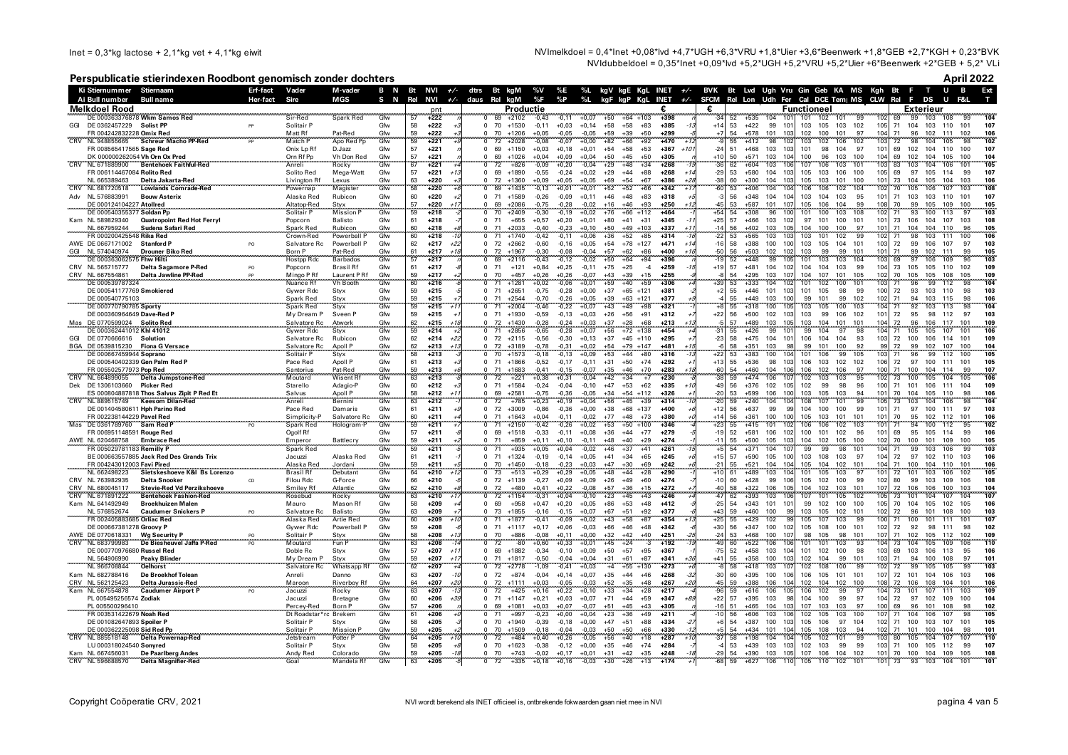Inet =  $0,3$ \*kg lactose + 2,1\*kg vet + 4,1\*kg eiwit

NVImelkdoel = 0.4\*lnet +0.08\*lvd +4.7\*UGH +6.3\*VRU +1.8\*Uier +3.6\*Beenwerk +1.8\*GEB +2.7\*KGH + 0.23\*BVK NVIdubbeldoel = 0,35\*lnet +0,09\*lvd +5,2\*UGH +5,2\*VRU +5,2\*Uler +6\*Beenwerk +2\*GEB + 5,2\* VLi

### Perspublicatie stierindexen Roodbont genomisch zonder dochters

April 2022

|     | Ki Stiernummer Stiernaam                               |                                                                 | Erf-fact       | Vader                     | M-vader                    | B N        | Bt                                      | NVI<br>$+/-$              | dtrs             |                                      | Bt kgM              | %V                 | %E                 |                    |                                  |                 | %L kgV kgE KgL INET +/-   |                |          |                  |                                      |             | BVK Bt Lvd Ugh Vru Gin Geb KA MS Kgh Bt F   |                    |                        |                        | T U                   | $\overline{B}$           | Ext              |
|-----|--------------------------------------------------------|-----------------------------------------------------------------|----------------|---------------------------|----------------------------|------------|-----------------------------------------|---------------------------|------------------|--------------------------------------|---------------------|--------------------|--------------------|--------------------|----------------------------------|-----------------|---------------------------|----------------|----------|------------------|--------------------------------------|-------------|---------------------------------------------|--------------------|------------------------|------------------------|-----------------------|--------------------------|------------------|
|     | Ai Bull number                                         | <b>Bull name</b>                                                | Her-fact       | Sire                      | <b>MGS</b>                 | S N        | Rel                                     | NVI                       | +/- daus Rel kgM |                                      |                     | %F                 | %P                 | $\%L$              |                                  |                 | kgF kgP KgL INET +/- SFCM |                |          |                  |                                      |             | Rel Lon Udh Fer Cal DCE Tem MS CLW Rel F DS |                    |                        |                        |                       | U<br>F&L                 |                  |
|     | Melkdoel Rood                                          |                                                                 |                |                           |                            |            |                                         |                           |                  |                                      | Productie           |                    |                    |                    |                                  |                 |                           | €.             |          |                  |                                      | Functioneel |                                             |                    |                        |                        | Exterieur             |                          |                  |
|     |                                                        | DE 000363376878 Wkm Samos Red                                   |                | Sir-Red                   | Spark Red                  | Gfw        | 57                                      | $pnt$<br>$+222$           |                  | 69                                   | $+2102$             | $-0,43$            | $-0,11$            | $+0.07$            | $+50$                            | $+64$ +103      | $+398$                    | $-34$          | 52       | $+535$           | 104                                  | 101         | 102<br>101                                  |                    |                        | 69<br>99               | 103                   |                          |                  |
| GGI | DE 0362457229 Solist PP                                |                                                                 |                | Solitair P                |                            | Gfw        | 58                                      | $+222$                    |                  | $\Omega$                             | 70 +1530            | $-0,11$            | $+0,03$            | $+0,14$            | $+58$<br>$+58$                   | $+83$           | $+385$                    | $+14$          | 53       | $+422$           | 99<br>101                            | 103         | 105<br>103                                  | 102                | 105                    | 71<br>104              | 103                   | 110<br>101               | 107              |
|     | FR 004242832228 Omix Red                               |                                                                 | لمحموله        | Matt Rf                   | Pat-Red                    | Gfw        | 59                                      | $+222$                    |                  | 70<br>$\Omega$                       | $+1206$             | $+0,05$            | $-0.05$            | $-0.05$            | $+59$<br>$+39$                   | $+50$           | $+299$                    |                | 54       | $+578$           | 101<br>103                           | 102         | 101<br>100                                  | 97                 | 104                    | 71<br>96               | 102                   | 111<br>102               | 106              |
|     | NL 948855665                                           | Schreur Macho PP-Red                                            | PF             | Match P                   | Apo Red Pp                 | Gfw        | 59                                      | $+221$                    |                  | 72                                   | $+2028$             | $-0,08$            | $-0,07$            | $+0,00$            | $+82$<br>$+66$                   | $+92$           | $+470$                    |                | 55       | $+412$           | 98<br>102                            | 103         | 102<br>106                                  | 102                | 103                    | 72                     | 98<br>104             | 105<br>98                | 102              |
|     | FR 008565417565 Sage Red                               |                                                                 |                | Onix Lp Rf                | D.Jazz                     | Gfw        | 57<br>57                                | $+221$                    |                  | $\Omega$<br>69<br>$\Omega$           | $+1150$             | $+0,03$            | $+0,18$            | $+0,01$            | $+54$<br>$+58$                   | $+53$           | $+367$<br>$+10$<br>$+305$ | $-24$<br>$+10$ | 51       | $+468$           | 103<br>103<br>104                    | 101         | 104<br>98                                   | 97                 | 101                    | 69<br>102              | 104                   | 110<br>100               | 107              |
| CRV | NL 671889900                                           | DK 000000262054 Vh Orn Ox Pred<br><b>Bentehoek Faithful-Red</b> |                | Orn Rf Pp<br>Anreli       | Vh Don Red<br>Rocky        | Gfw<br>Gfw | 67                                      | $+221$<br>$+221$          |                  | 69<br>72<br>$^{\circ}$               | $+1026$<br>$+826$   | $+0,04$<br>$-0,09$ | $+0,09$<br>$+0,20$ | $+0,04$<br>$-0,04$ | $+50$<br>$+45$<br>$+29$<br>$+48$ | $+50$<br>$+34$  | $+268$                    | $-36$          | 50<br>62 | $+571$<br>$+604$ | 103<br>103<br>106                    | 100<br>107  | 96<br>103<br>106<br>103                     | 100<br>101         | 104<br>103             | 69<br>102<br>83<br>103 | 104<br>104            | 105<br>100<br>106<br>101 | 104<br>105       |
|     | FR 006114467084 Rolito Red                             |                                                                 |                | Solito Red                | Mega-Watt                  | Gfw        | 57                                      | $+221$                    |                  | $\Omega$<br>69                       | +1890               | $-0,55$            | $-0,24$            | $+0,02$            | $+44$<br>$+29$                   | $+88$           | $+268$                    | $-29$          | 53       | $+580$           | 104<br>103                           | 105         | 103<br>106                                  | 100                | 105                    | 69<br>97               | 105                   | 114<br>99                | 107              |
|     | NL 665389463                                           | Delta Jakarta-Red                                               |                | Livington Rf              | Lexus                      | Gfw        | 63                                      | $+220$                    |                  | 72<br>$\Omega$                       | $+1360$             | $+0,09$            | $+0,05$            | $+0,05$            | $+54$<br>$+69$                   | $+67$           | +386                      | $-38$          | 60       | $+300$           | 104<br>103                           | 105         | 103<br>101                                  | 100                | 101                    | 73<br>104              | 105                   | 104<br>103               | 106              |
|     | NL 681720518                                           | <b>Lowlands Comrade-Red</b>                                     |                | Powernap                  | Magister                   | Gfw        | 58                                      | $+220$                    |                  | 69                                   | $+1435$             | $-0,13$            | $+0,01$            | $+0,01$            | $+52$<br>$+52$                   | $+66$           | $+342$                    | $-60$          | 53       | $+406$           | 104<br>104                           | 106         | 102                                         | 104                |                        |                        |                       |                          | 108              |
| Adv | NL 576883991                                           | <b>Bouw Asterix</b>                                             |                | Alaska Red                | Rubicon                    | Gfw        | 60                                      | $+220$                    |                  | $\mathbf 0$<br>71                    | $+1589$             | $-0,26$            | $-0,09$            | $+0,11$            | $+46$<br>$+48$                   | $+83$           | $+318$                    |                | 56       | $+348$           | 104<br>104                           | 103         | 104<br>103                                  | 95                 | 101                    | 71<br>103              | 103                   | 101<br>110               | 107              |
|     | DE 000124104227 Atollred                               |                                                                 |                | Altatop-Red               | Styx                       | Gfw        | 57                                      | $+220$                    |                  | 69<br>$\Omega$                       | $+2086$             | $-0,75$            | $-0,28$            | $-0,02$            | $+46$<br>$+16$                   | $+93$           | $+250$                    | A5             | 53       | $+587$           | 101<br>107                           | 105         | 104<br>106                                  | 99                 | 108                    | 70<br>99               | 105                   | 100<br>109               | 105              |
|     | DE 000540355377 Soldan Pp                              |                                                                 |                | Solitair P                | <b>Mission P</b>           | Gfw        | 59                                      | $+218$                    |                  | 70                                   | $+2409$             | $-0,30$            | $-0,19$            | $+0,02$            | $+76$<br>$+66$                   | +112            | $+464$                    | $+54$          | 54       | $+308$           | 96<br>100                            | 101         | 103<br>100                                  | 108                |                        | 71                     | 93<br>100             | 97<br>113                | 103              |
|     | Kam NL 589829340                                       | <b>Quatropoint Red Hot Ferryl</b>                               |                | Popcorn                   | Balisto                    | Gfw        | 61                                      | $+218$                    |                  | 71<br>$^{\circ}$                     | $+655$              | $+0,57$            | $+0,20$            | $+0,01$            | $+80$<br>$+41$                   | $+31$           | $+345$                    | $+25$          | 57       | $+466$           | 103<br>102                           | 97          | 101<br>100                                  | 101<br>97          | 101                    | 73<br>106              | 104                   | 107<br>103               | 108              |
|     | NL 667959244<br>FR 000200425548 Rika Red               | Sudena Safari Red                                               |                | Spark Red<br>Crown-Red    | Rubicon<br>Powerball F     | Gfw<br>Gfw | 60<br>60                                | $+218$                    |                  | 71<br>71                             | $+2033$             | $-0.40$            | $-0,23$            | $+0.10$            | $+50$<br>$+49$                   | $+103$          | $+337$                    | $-14$          | 56       | $+402$<br>$+565$ | 103<br>105                           | 104         | 100<br>100<br>101                           |                    | 101                    | 71<br>104<br>71        | 104<br>98             | 96<br>110<br>111         | 105<br>106       |
|     | AWE DE 0667171002                                      | <b>Stanford P</b>                                               | PO             | Salvatore Rc              | Powerball P                | Gfw        | 62                                      | $+218$<br>$+217$<br>$+22$ |                  | $\Omega$<br>72<br>$\Omega$           | $+1740$<br>$+2662$  | $-0,42$<br>$-0,60$ | $-0.11$<br>$-0,16$ | $+0,06$<br>$+0,05$ | $+52$<br>$+36$<br>$+54$<br>$+78$ | $+85$<br>$+127$ | $+314$<br>$+471$          | $-16$          | 53<br>58 | $+388$           | 103<br>103<br>100<br>100             | 103<br>103  | 102<br>105<br>104                           | 99<br>$10^{\circ}$ | 102<br>103             | 72                     | 103<br>99<br>106      | 100<br>97<br>107         | 103              |
| GGI | NL 574040974                                           | Drouner Biko Red                                                |                | Born P                    | Pat-Red                    | Gfw        | 61                                      | $+217$<br>$+11$           |                  | 72<br>$\Omega$                       | $+1967$             | $-0,30$            | $-0,08$            | $-0,04$            | $+57$<br>$+62$                   | $+86$           | $+400$<br>$+11$           | -50            | 56       | $+503$           | 102<br>102                           | 103         | 99<br>99                                    | 10 <sup>7</sup>    | 101                    | 71                     | 99<br>102             | 111<br>99                | 105              |
|     | DE 000363062575 Fhw Hilti                              |                                                                 |                | <b>Hostpp Rdc</b>         | Barbados                   | Gfw        | 57                                      | $+217$                    |                  | 69                                   | $+2116$             | $-0,43$            | $-0,12$            | $-0,02$            | $+50$<br>$+64$                   | $+94$           | $+396$                    |                | 52       | $+448$           | 99                                   | 101         | 103<br>103                                  | 10 <sub>4</sub>    |                        | 69                     | 106                   | 109                      | 103              |
|     | CRV NL 565715777                                       | Delta Sagamore P-Red                                            | PO             | Poncorn                   | <b>Brasil Rf</b>           | Gfw        | 61                                      | $+217$                    |                  | 71<br>$\Omega$                       | $+121$              | $+0.84$            | $+0.25$            | $-0.11$            | $+75$<br>$+25$                   | $-4$            | $+259$                    | $+19$          | 57       | $+481$           | 104<br>102                           | 104         | 104<br>103                                  | <b>gc</b>          | 104                    | 73<br>105              | 105                   | 110<br>102               | 109              |
|     | CRV NL 667554861                                       | Delta Jawline PP-Red                                            | PP             | Mingo P Rt                | Laurent P Rf               | Gfw        | 59                                      | $+217$                    | $\Omega$         | 70                                   | $+457$              | $+0,26$            | $+0,26$            | $-0,07$            | $+39$<br>$+43$                   | $+15$           | $+255$                    |                | 54       | $+295$           | 103<br>107                           | 104         | 101<br>107                                  | 105                | 102                    | 70<br>105              | 105                   | 108<br>105               | 109              |
|     | DE 000539787324                                        |                                                                 |                | Nuance Rf                 | <b>Vh Booth</b>            | Gfw        | 60                                      | $+216$                    |                  | 71<br>$\Omega$                       | $+1281$             | $+0.02$            | $-0.06$            | $+0.01$            | $+40$<br>$+59$                   | $+59$           | $+306$                    |                | 53       | $+333$           | 104<br>102                           | 101         | 100<br>102                                  | 101                | 103                    | 71<br>96               | 99                    | 98<br>112                | 104              |
|     | DE 000541177769 Smokiered                              |                                                                 |                | Gywer Rdc                 | Styx                       | Gfw        | 59                                      | $+215$                    |                  | $\Omega$<br>71                       | $+2651$             | $-0.75$            | $-0,28$            | $+0,00$            | $+37$<br>$+65$                   | $+121$          | $+381$                    | $+2$           | 55       | $+446$           | 101<br>103                           | 101         | 105<br>98                                   | 99                 | 100                    | 72                     | 93<br>103             | 110<br>98                | 103              |
|     | DE 000540775103                                        |                                                                 |                | Spark Red                 | Styx                       | Gfw        | 59                                      | $+215$                    |                  | $\Omega$<br>71                       | $+2544$             | $-0.70$            | $-0.26$            | $+0.05$            | $+39$                            | $+63$ +121      | $+377$                    |                | 55       | $+449$           | 103<br>100                           | 99          | 101<br>99                                   | 102                | 102                    | 71                     | 94<br>103             | 115<br>98                | 106              |
|     | DE 000770790785 Sporty<br>DE 000360964649 Dave-Red P   |                                                                 |                | Spark Red<br>My Dream P   | Styx<br>Sveen I            | Gfw<br>Gfw | 59<br>59                                | $+215$<br>$+1$<br>$+215$  |                  | 71<br>$\Omega$<br>$\Omega$<br>71     | $+2004$<br>$+1930$  | $-0,46$            | $-0,22$            | $+0,07$            | $+49$<br>$+43$<br>$+26$<br>$+56$ | $+98$<br>$+91$  | $+321$<br>$+312$          | $+22$          | 55<br>56 | $+318$<br>$+500$ | 100<br>10 <sup>5</sup><br>102<br>103 | 103<br>103  | 105<br>100<br>99<br>106                     | 103<br>102         | 10 <sub>4</sub><br>101 | 71<br>72               | 92<br>103<br>95<br>98 | 113<br>98<br>97<br>112   | 104<br>103       |
|     | Mas DE 0770599024                                      | Solito Red                                                      |                |                           |                            |            |                                         | $+215$<br>$+1$            |                  | 72<br>$\Omega$                       | $+1430$             | $-0,59$<br>$-0.28$ | $-0,13$<br>$-0,24$ | $+0,03$<br>$+0,03$ | $+37$<br>$+28$                   | +68             | $+213$                    |                | 57       | +489             | 103<br>105                           | 103         | 104<br>101                                  | 101                | 104                    | 72<br>96               | 106                   | 117<br>101               | 109              |
|     | DE 000362441012 Khl 41012                              |                                                                 |                | Salvatore Rc<br>Gywer Rdc | Atwork<br>Styx             | Gfw<br>Gfw | $\frac{62}{59}$                         | $+214$                    |                  | 71                                   | $+2856$             | $-0,65$            | 0,28               | $+0.07$            | $+72$<br>$+56$                   | $+138$          | $+454$                    |                | 55       | $+426$           | 99<br>10 <sup>7</sup>                | 99          | 104<br>97                                   |                    |                        | 71<br>105              | 105                   | 107<br>101               | 106              |
|     | GGI DE 0770666616                                      | Solution                                                        |                | Salvatore Rc              | Rubicon                    | Gfw        | 62                                      | $+22$<br>$+214$           |                  | $\Omega$                             | 72 +2115            | $-0,56$            | $-0,30$            | $+0,13$            | $+37$                            | $+45$ +110      | $+295$                    | $-23$          | 58       | $+475$           | 104<br>101                           | 106         | 104<br>104                                  | 93                 | 103                    | 72<br>100              | 106                   | 101<br>114               | 109              |
|     | BGA DE 0539815230                                      | <b>Fiona G Versace</b>                                          |                | Salvatore Rc              | Apoll P                    | Gfw        | 62                                      | $+213$<br>$+1$            |                  | 72<br>$\Omega$                       | $+3189$             | $-0.78$            | $-0.31$            | $+0,02$            | $+79$<br>$+54$                   | $+147$          | $+481$                    |                | 58       | $+351$           | 103<br>98                            | 99          | 101<br>100                                  | 92                 | 99                     | 72<br>99               | 102                   | 107<br>100               | 104              |
|     | DE 000667459944 Soprano                                |                                                                 |                | Solitair P                | Styx                       | Gfw        | 58                                      | $+213$                    |                  | $\overline{0}$<br>70                 | $+1573$             | $-0,18$            | $-0,13$            | $+0,09$            | $+44$<br>$+53$                   | $+80$           | $+316$                    | $+22$          | 53       | $+383$           | 100<br>104                           | 101         | 106<br>99                                   | 105                | 103                    | 96<br>71               | 99                    | 112<br>100               | 105              |
|     |                                                        | DE 000540402339 Gen Palm Red F                                  |                | Pace Red                  | Apoll P                    | Gfw        | 61                                      | $+213$                    |                  | $\Omega$<br>71                       | $+1866$             | $-0,52$            | $-0,17$            | $-0,11$            | $+50$<br>$+31$                   | $+74$           | $+292$                    | $+13$          | 55       | $+536$           | 98<br>103                            | 106         | 103<br>102                                  | 102                | 106                    | 72<br>97               | 100                   | 111<br>101               | 105              |
|     | FR 005502577973 Pop Red                                |                                                                 |                | Santorius                 | Pat-Red                    | Gfw        | 59                                      | $+213$                    |                  | $\Omega$<br>71                       | $+1683$             | $-0.41$            | $-0,15$            | $-0.07$            | $+35$<br>$+46$                   | $+70$           | $+283$<br>+11             | -60            | 54       | $+460$           | 104<br>106                           | 106         | 102<br>106                                  | 97                 | 100                    | 71<br>100              | 104                   | 99<br>114                | 107              |
| CRV | NL 664899055                                           | Delta Jumpstone-Red<br><b>Picker Red</b>                        |                | Moutard                   | Wisent Rf                  | Gfw<br>Gfw | 63<br>60                                | $+213$                    |                  | 72<br>$\Omega$<br>$\mathbf{0}$<br>71 | $+221$<br>$+1584$   | $+0,38$            | $+0,31$            | $-0,04$            | $+42$<br>$+34$<br>$+47$          | $+7$<br>$+62$   | $+230$<br>$+335$          | $-49$          | 59       | $+474$           | 106<br>107                           | 102         | 103<br>103<br>99<br>98                      | 95<br>96           | 100                    | 73<br>100<br>101       | 105                   | 104<br>105<br>111<br>104 | 106<br>109       |
| Dek | DE 1306103660                                          | ES 000804887818 Thos Salvus Zipit P Red Et                      |                | Starello                  | Adagio-P                   |            | 58                                      | $+212$<br>$+212$<br>$+1$  |                  | 69                                   | $+2581$             | $-0,24$<br>$-0,75$ | $-0,04$<br>$-0,36$ | $-0,10$<br>$-0,05$ | $+53$<br>$+34$                   | $+54$ +112      | $+326$                    | $-20$          | 56<br>53 | $+376$<br>$+599$ | 102<br>105<br>106<br>100             | 102<br>103  | 103<br>105                                  |                    | 101                    | 71<br>70<br>104        | 106<br>105            | 98<br>110                | 106              |
|     | NL 889515749                                           | Keesom Dilan-Red                                                |                | Salvus<br>Anreli          | Apoll P<br>Bernini         | Gfw<br>Gfw | 63                                      | $+212$                    |                  | $\frac{0}{0}$<br>72                  | $+785$              | $+0,23$            | $+0,19$            | $+0,04$            | $+56$<br>$+45$                   | $+39$           | $+314$                    | $-20$          | 59       | $+240$           | 104<br>104                           | 108         | 107<br>101                                  | $\frac{94}{99}$    | 105                    | 73<br>103              | 104                   | 106<br>98                | 104              |
|     |                                                        | DE 001404580611 Hph Parino Red                                  |                | Pace Red                  | Damaris                    | Gfw        | 61                                      | $+211$                    |                  | 72<br>$\Omega$                       | $+3009$             | $-0,86$            | $-0,36$            | $+0,00$            | $+38$                            | $+68$ +137      | +400                      | $+12$          | 56       | $+637$           | 99<br>99                             | 104         | 100<br>100                                  | 99                 | 101                    | 71<br>97               | 100                   | 111<br>97                | 103              |
|     | FR 002238144229 Pavel Red                              |                                                                 |                | Simplicity-P              |                            | Gfw        | $\begin{array}{c} 60 \\ 59 \end{array}$ | $+211$                    |                  | 71                                   | $+1643$             | +0,04              | $-0,11$            | $-0,02$            | $+77$<br>$+48$                   | $+73$           | +380                      | $+14$          | 56       | $+361$           | 100<br>10 <sub>0</sub>               | 105         | 103<br>101                                  | 101                | 101                    | 70<br>95               | 102                   | 112<br>101               | 106              |
|     | Mas DE 0361789760                                      | Sam Red F                                                       |                | Spark Red                 | Salvatore Rc<br>Hologram-P | Gfw        |                                         | $+211$                    |                  | 71                                   | $+2150$             | $-0,42$            | $-0,26$            | $+0,02$            | $+53$<br>$+50$                   | $+100$          | $+346$                    |                | 55       | $+415$           | 101                                  | 106         | 106<br>102                                  | 103                |                        | 94<br>71               | 100                   |                          | 102              |
|     | FR 006951148591 Rouge Red                              |                                                                 |                | Ogolf Rf                  |                            | Gfw        | 57                                      | $+211$                    |                  | 69<br>$\Omega$                       | $+1518$             | $-0,33$            | $-0,11$            | $+0,08$            | $+44$<br>$+36$                   | $+77$           | $+279$                    | $-19$          | 52       | $+581$           | 106<br>102                           | 100         | 101<br>102                                  | 96                 | 101                    | 69<br>95               | 105                   | 99<br>114                | 106              |
|     | AWE NL 620468758                                       | <b>Embrace Red</b>                                              |                | Emperor                   | Battlecry                  | Gfw        | 59                                      | $+211$                    |                  | 71<br>$^{\circ}$                     | $+859$              | $+0.11$            | $+0.10$            | $-0,11$            | $+48$<br>$+40$                   | $+29$           | $+274$                    | $-11$          | 55       | $+500$           | 105<br>103                           | 104         | 102<br>105                                  | 100                | 102                    | 70<br>100              | 101                   | 109<br>100               | 105              |
|     | FR 005029781183 Remilly P                              |                                                                 |                | Spark Red                 | Alaska Red                 | Gfw<br>Gfw | 59<br>61                                | $+211$<br>$+211$          |                  | 71<br>71<br>$\Omega$                 | $+935$              | $+0,05$            | $+0,04$            | $-0,02$            | $+37$<br>$+46$<br>$+41$          | $+41$<br>$+65$  | $+261$<br>$+245$          | $+15$          | 54<br>57 | $+371$<br>$+590$ | 104<br>100                           | 99<br>103   | 99<br>98                                    | 101<br>-97         | 104<br>104             | 71<br>97               | 99<br>103             | 106<br>99                | 103              |
|     | FR 004243012003 Favi Pired                             | BE 000663557885 Jack Red Des Grands Trix                        |                | Jacuzzi<br>Alaska Red     | Jordani                    | Gfw        | 59                                      | $+211$                    |                  | 70<br>$^{\circ}$                     | $+1324$<br>$+1450$  | $-0,19$<br>$-0,18$ | $-0,14$<br>$-0,23$ | $+0,05$<br>$+0,03$ | $+34$<br>$+47$<br>$+30$          | $+69$           | $+242$                    | $-21$          | 55       | $+521$           | 105<br>104<br>104                    | 105         | 108<br>103<br>104<br>102                    | 101                | 104                    | 72<br>71<br>100        | 102<br>104            | 110<br>103<br>110<br>101 | 106<br>106       |
|     | NL 662498223                                           | Sietskeshoeve K&I Bs Lorenzo                                    |                | <b>Brasil Rf</b>          | Debutant                   | Cfw        | 64                                      | $+210$                    |                  | 73                                   | $+513$              | $+0,29$            | $+0.29$            | $+0.05$            | $+48$<br>$+44$                   | $+28$           | $+290$                    |                |          | $+489$           | 103                                  |             | 105<br>103                                  |                    |                        | 72<br>101              | 103                   | 106                      | 105              |
|     | CRV NL 763982935                                       | <b>Delta Snooker</b>                                            | CD             | Filou Rdc                 | G-Force                    | Gfw        | 66                                      | $+210$                    |                  |                                      | $0$ 72 +1139        | $-0,27$            | $+0,09$            | $+0,09$            | $+26$<br>$+49$                   | $+60$           | $+274$                    | $-10$          | 60       | $+428$           | 99<br>106                            | 105         | 102<br>100                                  | 99                 | 102                    | 80<br>99               | 103                   | 109<br>106               | 108              |
|     | CRV NL 680045117                                       | <b>Stevie-Red Vd Perzikshoeve</b>                               |                | Smilev Rf                 | Atlantic                   | Gfw        | 62                                      | $+210$                    |                  | 72<br>$\Omega$                       | $+480$              | $+0.41$            | $+0.22$            | $-0.08$            | $+57$<br>$+36$                   | $+15$           | $+272$                    | $-40$          | 58       | $+322$           | 106<br>105                           | 104         | 102<br>103                                  | 101                | 107                    | 72<br>106              | 106                   | 100<br>103               | 104              |
|     | CRV NL 671891222                                       | <b>Bentehoek Fashion-Red</b>                                    |                | Rosebud                   | Rocky                      | Gfw        | 63                                      | $+210$<br>$+1$            |                  | 72                                   | $+1154$             | $-0,31$            | $+0.04$            | $-0.10$            | $+23$<br>$+45$                   | $+43$           | $+246$                    | $-47$          | 62       | $+393$           | 103<br>106                           | 107         | 101<br>105                                  | 102                | 105                    | 73<br>101              | 104                   | 107<br>104               | 107              |
|     | Kam NL 641492949                                       | Broekhuizen Malen                                               |                | Mauro                     | Mason Rf                   | Gfw        | 58                                      | $+209$                    |                  | 69<br>$\Omega$                       | $+958$              | $+0.47$            | $+0.20$            | $+0,05$            | $+53$<br>$+86$                   | $+48$           | $+412$                    | $-25$          | 54       | $+343$           | 101<br>101                           | 99          | 100<br>102                                  | 100                | 105                    | 70<br>104              | 105                   | 102<br>105               | 106              |
|     | NL 576852674                                           | <b>Caudumer Snickers P</b>                                      | P <sub>O</sub> | Salvatore Rc              | Balisto                    | Gfw        | 63                                      | $+209$                    |                  | 73<br>$\Omega$                       | $+1855$             | $-0.16$            | $-0.15$            | $+0.07$            | $+67$<br>$+51$                   | $+92$           | $+377$                    | $+43$          | 59       | $+460$           | 100<br>99                            | 103         | 105<br>102                                  | 101                | 102                    | 72<br>96               | 101                   | 108<br>100               | 103              |
|     | FR 002405883685 Orliac Red<br>DE 000667381278 Groovv P |                                                                 |                | Alaska Red<br>Gywer Rdc   | Artie Red<br>Powerball P   | Gfw<br>Gfw | 60<br>59                                | $+209$<br>$+1$<br>$+208$  |                  | 71<br>$\Omega$                       | $+1877$<br>71 +1117 | $-0,41$<br>$+0.17$ | $-0,09$<br>$+0.06$ | $+0,02$<br>$-0.03$ | $+58$<br>$+43$<br>$+66$<br>$+46$ | $+87$<br>$+48$  | $+354$<br>$+342$          | $+25$<br>$+30$ | 55<br>56 | $+429$<br>$+347$ | 102<br>gc<br>100<br>102              | 105<br>105  | 107<br>103<br>108<br>100                    | 99<br>101          | 100<br>102             | 71<br>100<br>92        | 101<br>98             | 101<br>111<br>98<br>111  | 107<br>102       |
|     | AWE DE 0770618331                                      | <b>Wg Security P</b>                                            |                | Solitair P                |                            |            |                                         | $+208$<br>$+1$            |                  | $\Omega$<br>70<br>$\Omega$           | $+886$              | $-0.08$            | $+0.11$            | $+0.00$            | $+32$<br>$+42$                   | $+40$           | $+251$                    | $-24$          | 53       | $+468$           | 100<br>107                           | 98          | 98<br>105                                   | 101                | 107                    | 72<br>71<br>102        | 105                   | 112<br>102               | 109              |
| CRV | NL 683799983                                           | De Biesheuvel Jaffa P-Red                                       |                | Moutard                   | Styx<br>Fun F              | Gfw<br>Gfw | 58<br>63                                | +208                      |                  | $\Omega$<br>72                       | -80                 | +0,60              | +0,33              | $+0,01$            | +45<br>$+24$                     | -3              | $+192$                    |                | 60       | $+522$           | 106<br>106                           | 101         | 101<br>103                                  | 93                 | 104                    | 73<br>104              | 105                   | 109<br>106               | $\overline{110}$ |
|     | DE 000770976680 Russel Red                             |                                                                 |                | Doble Rc                  | Styx                       | Gfw        | 57                                      | $+207$<br>$+1$            |                  | 69<br>$\Omega$                       | $+1882$             | $-0.34$            | $-0,10$            | $+0,09$            | $+50$<br>$+57$                   | $+95$           | $+367$                    | $-75$          | 52       | $+458$           | 103<br>104                           | 101         | 102<br>100                                  | 98                 | 103                    | 69<br>103              | 106                   | 113<br>95                | 106              |
|     | NL 564906990                                           | Peaky Blinder                                                   |                | My Dream P                | Styx                       | Gfw        | 59                                      | $+207$<br>$+1$            |                  | 71<br>$\Omega$                       | $+1817$             | $-0,50$            | $-0.04$            | $+0,04$            | $+31$<br>$+61$                   | $+87$           | $+341$                    | $+41$          | 55       | $+358$           | 100<br>103                           | 102         | 104<br>99                                   | 101                | 103                    | 71<br>94               | 100                   | 108<br>97                | 101              |
|     | NL 966708844                                           | <b>Oelhorst</b>                                                 |                | Salvatore Rc              | Whatsapp Rf                | Gfw        | 62                                      | $+207$                    |                  | 72<br>$\Omega$                       | $+2778$             | $-1,09$            | $-0,41$            | $+0,03$            | $+4$<br>$+55$                    | $+130$          | $+273$                    |                | 58       | $+418$           | 103<br>10 <sub>1</sub>               | 102         | 108<br>100                                  |                    | 102                    | 72                     | 99<br>105             | 105<br>99                | 103              |
|     | Kam NL 682788416                                       | De Broekhof Tolean                                              |                | Anreli                    | Danno                      | Gfw        | 63                                      | $+207$                    |                  | 72<br>$^{\circ}$                     | $+874$              | $-0,04$            | $+0,14$            | $+0,07$            | $+35$<br>$+44$                   | $+46$           | $+268$                    | $-30$          | 60       | $+395$           | 100<br>106                           | 106         | 101<br>105                                  | 101                | 107                    | 72<br>101              | 104                   | 106<br>103               | 106              |
|     | CRV NL 562125423                                       | Delta Jurassic-Red                                              |                | Maroon                    | Riverboy Rf                | Gfw        | 64                                      | $+207$<br>$+2$            |                  | 72<br>$\Omega$                       | $+1111$             | $+0,03$            | $-0.05$            | $-0.03$            | $+52$<br>$+35$                   | $+48$           | $+267$                    | $-45$          | 59       | $+388$           | 106<br>104                           | 102         | 102<br>104                                  | 100                | 108                    | 72<br>106              | 108                   | 104<br>101               | 106              |
|     | Kam NL 667554878                                       | <b>Caudumer Airport P</b>                                       |                | Jacuzzi                   | Rocky                      | Gfw        | 63                                      | $+207$                    |                  | 72<br>$\overline{0}$                 | $+425$              | $+0,16$            | $+0,22$            | $+0,10$            | $+33$<br>$+34$                   | $+28$           | $+217$                    | $-96$          | 59       | $+616$           | 106<br>105                           | 106         | 102<br>99                                   | 97                 | 104                    | 73<br>101              | 107                   | 111<br>103               | 109              |
|     | PL 005495256574 Zodiak<br>PL 005500296410              |                                                                 |                | Jacuzzi<br>Percey-Red     | <b>Bretagne</b><br>Born P  | Gfw<br>Gfw | 60<br>57                                | $+206$<br>$+3.$<br>$+206$ |                  | 71<br>$^{\circ}$<br>$\Omega$<br>69   | $+1147$<br>$+1081$  | $+0,21$<br>$+0,03$ | $+0,03$<br>$+0.07$ | $+0,07$<br>$-0,07$ | $+71$<br>$+44$<br>$+51$<br>$+45$ | $+59$<br>$+43$  | $+347$<br>$+305$          | $+22$<br>$-16$ | 57<br>51 | $+395$<br>$+465$ | 103<br>98<br>104<br>103              | 104<br>107  | 100<br>99<br>103<br>103                     | 97<br>97           | 104<br>100             | 72<br>97<br>69<br>96   | 102<br>101            | 109<br>100<br>108<br>98  | 104<br>102       |
|     | FR 003531422679 Noah Red                               |                                                                 |                | Dt Roadstar*              | rc Brekem                  | Gfw        | 61                                      | $+206$                    |                  | 71                                   | $+997$              | $-0,23$            | $+0,00$            | $+0,04$            | $+23$<br>$+36$                   | $+49$           | $+211$                    |                | 56       | $+606$           | 103<br>106                           | 102         | 105<br>103                                  | 100                | 107                    | 71<br>104              | 106                   | 107<br>98                | 105              |
|     | DE 001082647893 Spoiler P                              |                                                                 |                | Solitair P                | Styx                       | Gfw        | 58                                      | $+205$                    |                  | 70<br>$^{\circ}$                     | +1940               | $-0,39$            | $-0,18$            | $+0,00$            | $+47$<br>$+51$                   | $+88$           | $+334$                    | $+6$           | 54       | $+387$           | 100<br>103                           | 105         | 106<br>97                                   | 104                | 102                    | 71<br>100              | 103                   | 107<br>101               | 105              |
|     | DE 000362225098 Sid Red Pp                             |                                                                 |                | Solitair P                | Mission P                  | Gfw        | 59                                      | $+205$                    |                  | 70                                   | $+1509$             | $-0,18$            | $-0,04$            | $-0,03$            | $+50$<br>$+50$                   | $+66$           | +330                      |                | 54       | $+434$           | 101<br>104                           | 105         | 108<br>103                                  | 94                 | 102                    | 71<br>101              | 100                   | 104<br>98                | 101              |
|     | NL 885518148                                           | <b>Delta Powernap-Red</b>                                       |                | Jetstream                 | Potter <sub>P</sub>        | Gfw        | 64                                      | $+205$                    |                  | 72                                   | $+484$              | $+0,40$            | $+0,26$            | $-0,05$            | $+56$<br>$+40$                   | $+18$           | $+287$                    |                | 58       | $+198$           | 104<br>104                           | 105         | 102<br>101                                  | 99                 |                        | 80                     | 104                   | 107                      | 110              |
|     | LU 000318024540 Sonyred                                |                                                                 |                | Solitair P                | Styx                       | Gfw        | 58                                      | $+205$                    |                  | $\Omega$<br>70                       | $+1623$             | $-0,38$            | $-0,12$            | $+0,00$            | $+35$<br>$+46$                   | $+74$           | $+284$                    |                | 53       | $+439$           | 103<br>103                           | 102         | 103<br>99                                   | 99                 | 103                    | 71<br>100              | 105                   | 112<br>99                | 107              |
|     | NL 667456031                                           | De Paarlberg Andes                                              |                | Andy Red                  | Colorado                   | Gfw        | 59                                      | $+205$                    |                  | 70                                   | $+743$              | $-0,02$            | $+0,17$            | $+0,01$            | $+31$<br>$+42$                   | +35             | $+248$                    |                | 54       | $+390$           | 105<br>103                           | 107         | 106<br>104                                  | 102                | 101                    | 70<br>100              | 104                   | 109<br>105               | 108              |
|     | CRV NL 596688570                                       | <b>Delta Magnifier-Red</b>                                      |                | Goal                      | Mandela Rf                 | Gfw        | 63                                      | $+205$                    |                  | $\overline{0}$<br>72                 | $+335$              | $+0,18$            | $+0,16$            | $-0,03$            | $+30$<br>$+26$                   | $+13$           | $+174$                    |                | $-68$ 59 | $+627$           | 106 110                              | 105 110     | 102                                         | 101                | 101                    | 73                     | 93<br>103             | 104                      | 10 <sup>1</sup>  |